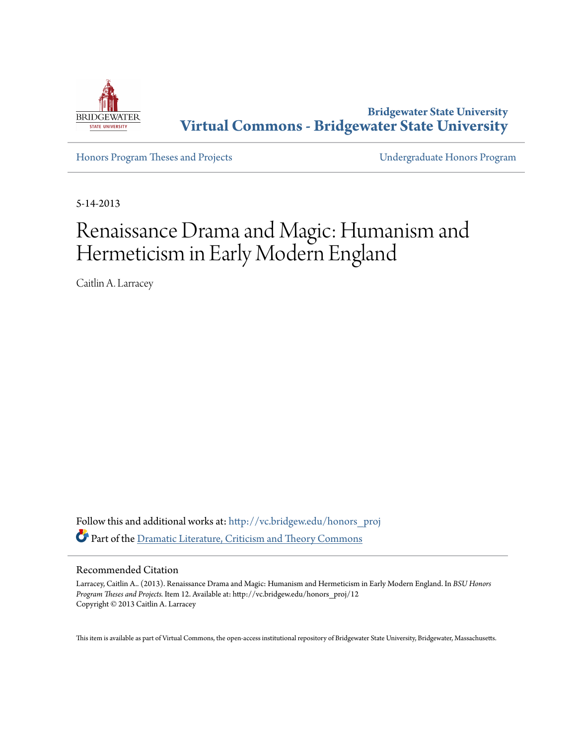

**Bridgewater State University [Virtual Commons - Bridgewater State University](http://vc.bridgew.edu?utm_source=vc.bridgew.edu%2Fhonors_proj%2F12&utm_medium=PDF&utm_campaign=PDFCoverPages)**

[Honors Program Theses and Projects](http://vc.bridgew.edu/honors_proj?utm_source=vc.bridgew.edu%2Fhonors_proj%2F12&utm_medium=PDF&utm_campaign=PDFCoverPages) [Undergraduate Honors Program](http://vc.bridgew.edu/honors?utm_source=vc.bridgew.edu%2Fhonors_proj%2F12&utm_medium=PDF&utm_campaign=PDFCoverPages)

5-14-2013

## Renaissance Drama and Magic: Humanism and Hermeticism in Early Modern England

Caitlin A. Larracey

Follow this and additional works at: [http://vc.bridgew.edu/honors\\_proj](http://vc.bridgew.edu/honors_proj?utm_source=vc.bridgew.edu%2Fhonors_proj%2F12&utm_medium=PDF&utm_campaign=PDFCoverPages) Part of the [Dramatic Literature, Criticism and Theory Commons](http://network.bepress.com/hgg/discipline/555?utm_source=vc.bridgew.edu%2Fhonors_proj%2F12&utm_medium=PDF&utm_campaign=PDFCoverPages)

## Recommended Citation

Larracey, Caitlin A.. (2013). Renaissance Drama and Magic: Humanism and Hermeticism in Early Modern England. In *BSU Honors Program Theses and Projects.* Item 12. Available at: http://vc.bridgew.edu/honors\_proj/12 Copyright © 2013 Caitlin A. Larracey

This item is available as part of Virtual Commons, the open-access institutional repository of Bridgewater State University, Bridgewater, Massachusetts.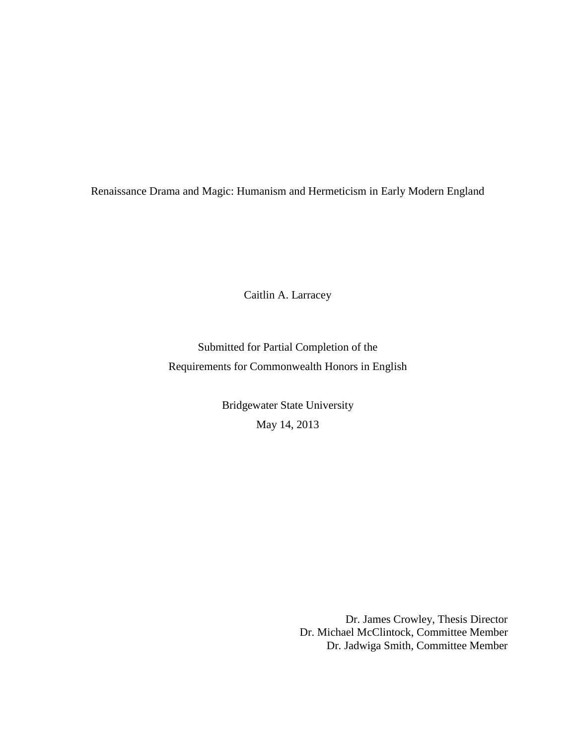Renaissance Drama and Magic: Humanism and Hermeticism in Early Modern England

Caitlin A. Larracey

Submitted for Partial Completion of the Requirements for Commonwealth Honors in English

> Bridgewater State University May 14, 2013

> > Dr. James Crowley, Thesis Director Dr. Michael McClintock, Committee Member Dr. Jadwiga Smith, Committee Member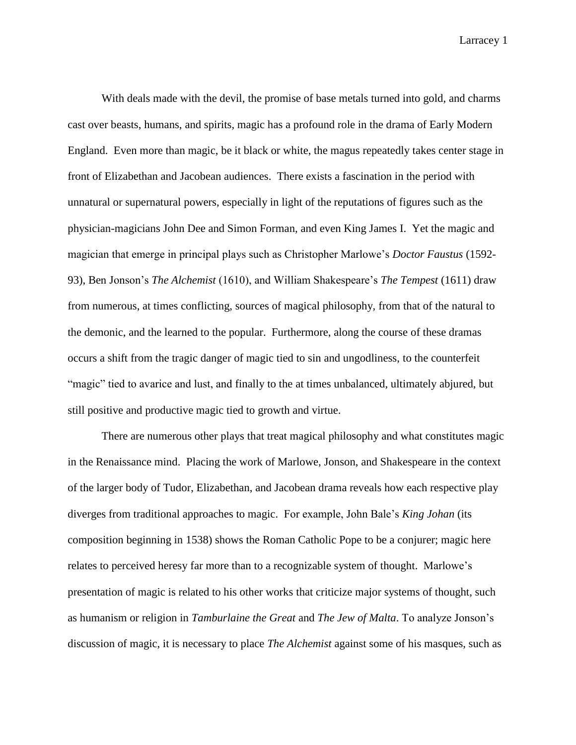With deals made with the devil, the promise of base metals turned into gold, and charms cast over beasts, humans, and spirits, magic has a profound role in the drama of Early Modern England. Even more than magic, be it black or white, the magus repeatedly takes center stage in front of Elizabethan and Jacobean audiences. There exists a fascination in the period with unnatural or supernatural powers, especially in light of the reputations of figures such as the physician-magicians John Dee and Simon Forman, and even King James I. Yet the magic and magician that emerge in principal plays such as Christopher Marlowe's *Doctor Faustus* (1592- 93), Ben Jonson's *The Alchemist* (1610), and William Shakespeare's *The Tempest* (1611) draw from numerous, at times conflicting, sources of magical philosophy, from that of the natural to the demonic, and the learned to the popular. Furthermore, along the course of these dramas occurs a shift from the tragic danger of magic tied to sin and ungodliness, to the counterfeit "magic" tied to avarice and lust, and finally to the at times unbalanced, ultimately abjured, but still positive and productive magic tied to growth and virtue.

There are numerous other plays that treat magical philosophy and what constitutes magic in the Renaissance mind. Placing the work of Marlowe, Jonson, and Shakespeare in the context of the larger body of Tudor, Elizabethan, and Jacobean drama reveals how each respective play diverges from traditional approaches to magic.For example, John Bale's *King Johan* (its composition beginning in 1538) shows the Roman Catholic Pope to be a conjurer; magic here relates to perceived heresy far more than to a recognizable system of thought. Marlowe's presentation of magic is related to his other works that criticize major systems of thought, such as humanism or religion in *Tamburlaine the Great* and *The Jew of Malta*. To analyze Jonson's discussion of magic, it is necessary to place *The Alchemist* against some of his masques, such as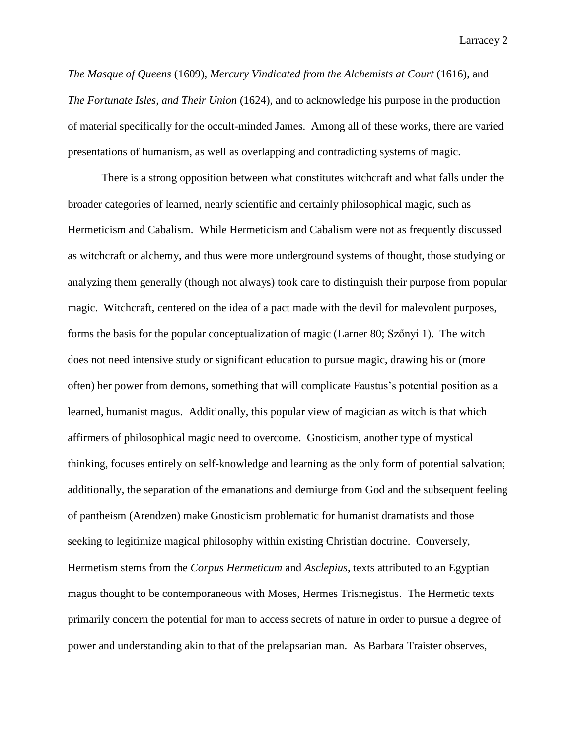*The Masque of Queens* (1609), *Mercury Vindicated from the Alchemists at Court* (1616), and *The Fortunate Isles, and Their Union* (1624), and to acknowledge his purpose in the production of material specifically for the occult-minded James. Among all of these works, there are varied presentations of humanism, as well as overlapping and contradicting systems of magic.

There is a strong opposition between what constitutes witchcraft and what falls under the broader categories of learned, nearly scientific and certainly philosophical magic, such as Hermeticism and Cabalism. While Hermeticism and Cabalism were not as frequently discussed as witchcraft or alchemy, and thus were more underground systems of thought, those studying or analyzing them generally (though not always) took care to distinguish their purpose from popular magic.Witchcraft, centered on the idea of a pact made with the devil for malevolent purposes, forms the basis for the popular conceptualization of magic (Larner 80; Szőnyi 1). The witch does not need intensive study or significant education to pursue magic, drawing his or (more often) her power from demons, something that will complicate Faustus's potential position as a learned, humanist magus. Additionally, this popular view of magician as witch is that which affirmers of philosophical magic need to overcome. Gnosticism, another type of mystical thinking, focuses entirely on self-knowledge and learning as the only form of potential salvation; additionally, the separation of the emanations and demiurge from God and the subsequent feeling of pantheism (Arendzen) make Gnosticism problematic for humanist dramatists and those seeking to legitimize magical philosophy within existing Christian doctrine. Conversely, Hermetism stems from the *Corpus Hermeticum* and *Asclepius*, texts attributed to an Egyptian magus thought to be contemporaneous with Moses, Hermes Trismegistus. The Hermetic texts primarily concern the potential for man to access secrets of nature in order to pursue a degree of power and understanding akin to that of the prelapsarian man. As Barbara Traister observes,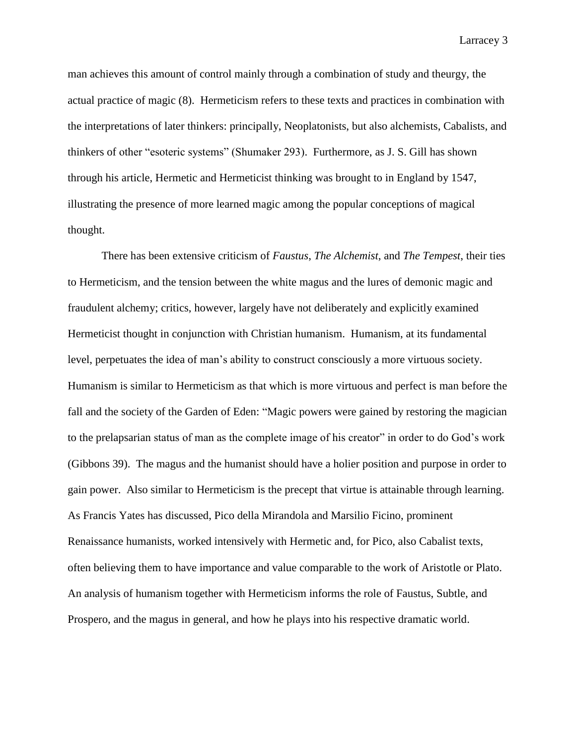man achieves this amount of control mainly through a combination of study and theurgy, the actual practice of magic (8). Hermeticism refers to these texts and practices in combination with the interpretations of later thinkers: principally, Neoplatonists, but also alchemists, Cabalists, and thinkers of other "esoteric systems" (Shumaker 293). Furthermore, as J. S. Gill has shown through his article, Hermetic and Hermeticist thinking was brought to in England by 1547, illustrating the presence of more learned magic among the popular conceptions of magical thought.

There has been extensive criticism of *Faustus*, *The Alchemist*, and *The Tempest*, their ties to Hermeticism, and the tension between the white magus and the lures of demonic magic and fraudulent alchemy; critics, however, largely have not deliberately and explicitly examined Hermeticist thought in conjunction with Christian humanism. Humanism, at its fundamental level, perpetuates the idea of man's ability to construct consciously a more virtuous society. Humanism is similar to Hermeticism as that which is more virtuous and perfect is man before the fall and the society of the Garden of Eden: "Magic powers were gained by restoring the magician to the prelapsarian status of man as the complete image of his creator" in order to do God's work (Gibbons 39). The magus and the humanist should have a holier position and purpose in order to gain power. Also similar to Hermeticism is the precept that virtue is attainable through learning. As Francis Yates has discussed, Pico della Mirandola and Marsilio Ficino, prominent Renaissance humanists, worked intensively with Hermetic and, for Pico, also Cabalist texts, often believing them to have importance and value comparable to the work of Aristotle or Plato. An analysis of humanism together with Hermeticism informs the role of Faustus, Subtle, and Prospero, and the magus in general, and how he plays into his respective dramatic world.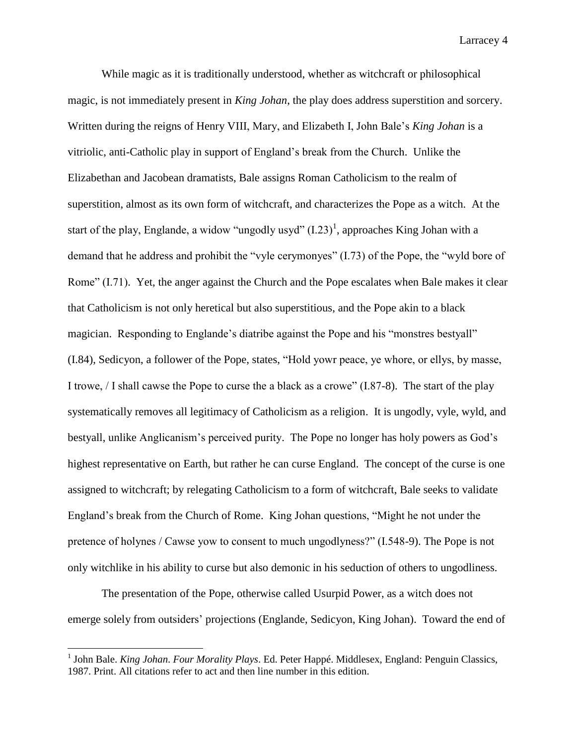While magic as it is traditionally understood, whether as witchcraft or philosophical magic, is not immediately present in *King Johan*, the play does address superstition and sorcery. Written during the reigns of Henry VIII, Mary, and Elizabeth I, John Bale's *King Johan* is a vitriolic, anti-Catholic play in support of England's break from the Church. Unlike the Elizabethan and Jacobean dramatists, Bale assigns Roman Catholicism to the realm of superstition, almost as its own form of witchcraft, and characterizes the Pope as a witch. At the start of the play, Englande, a widow "ungodly usyd"  $(I.23)^1$ , approaches King Johan with a demand that he address and prohibit the "vyle cerymonyes" (I.73) of the Pope, the "wyld bore of Rome" (I.71). Yet, the anger against the Church and the Pope escalates when Bale makes it clear that Catholicism is not only heretical but also superstitious, and the Pope akin to a black magician. Responding to Englande's diatribe against the Pope and his "monstres bestyall" (I.84), Sedicyon, a follower of the Pope, states, "Hold yowr peace, ye whore, or ellys, by masse, I trowe, / I shall cawse the Pope to curse the a black as a crowe" (I.87-8). The start of the play systematically removes all legitimacy of Catholicism as a religion. It is ungodly, vyle, wyld, and bestyall, unlike Anglicanism's perceived purity. The Pope no longer has holy powers as God's highest representative on Earth, but rather he can curse England. The concept of the curse is one assigned to witchcraft; by relegating Catholicism to a form of witchcraft, Bale seeks to validate England's break from the Church of Rome. King Johan questions, "Might he not under the pretence of holynes / Cawse yow to consent to much ungodlyness?" (I.548-9). The Pope is not only witchlike in his ability to curse but also demonic in his seduction of others to ungodliness.

The presentation of the Pope, otherwise called Usurpid Power, as a witch does not emerge solely from outsiders' projections (Englande, Sedicyon, King Johan). Toward the end of

 $\overline{\phantom{a}}$ 

<sup>&</sup>lt;sup>1</sup> John Bale. *King Johan. Four Morality Plays*. Ed. Peter Happé. Middlesex, England: Penguin Classics, 1987. Print. All citations refer to act and then line number in this edition.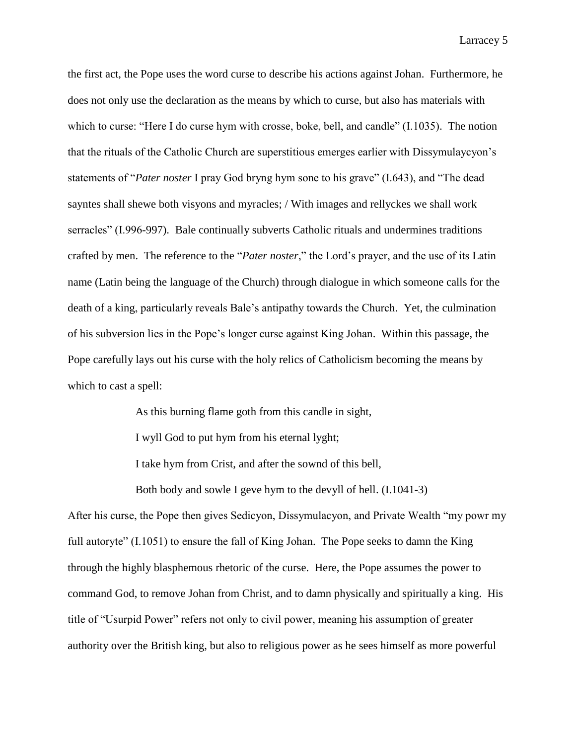the first act, the Pope uses the word curse to describe his actions against Johan. Furthermore, he does not only use the declaration as the means by which to curse, but also has materials with which to curse: "Here I do curse hym with crosse, boke, bell, and candle" (I.1035). The notion that the rituals of the Catholic Church are superstitious emerges earlier with Dissymulaycyon's statements of "*Pater noster* I pray God bryng hym sone to his grave" (I.643), and "The dead sayntes shall shewe both visyons and myracles; / With images and rellyckes we shall work serracles" (I.996-997). Bale continually subverts Catholic rituals and undermines traditions crafted by men. The reference to the "*Pater noster*," the Lord's prayer, and the use of its Latin name (Latin being the language of the Church) through dialogue in which someone calls for the death of a king, particularly reveals Bale's antipathy towards the Church. Yet, the culmination of his subversion lies in the Pope's longer curse against King Johan. Within this passage, the Pope carefully lays out his curse with the holy relics of Catholicism becoming the means by which to cast a spell:

> As this burning flame goth from this candle in sight, I wyll God to put hym from his eternal lyght; I take hym from Crist, and after the sownd of this bell,

Both body and sowle I geve hym to the devyll of hell. (I.1041-3)

After his curse, the Pope then gives Sedicyon, Dissymulacyon, and Private Wealth "my powr my full autoryte" (I.1051) to ensure the fall of King Johan. The Pope seeks to damn the King through the highly blasphemous rhetoric of the curse. Here, the Pope assumes the power to command God, to remove Johan from Christ, and to damn physically and spiritually a king. His title of "Usurpid Power" refers not only to civil power, meaning his assumption of greater authority over the British king, but also to religious power as he sees himself as more powerful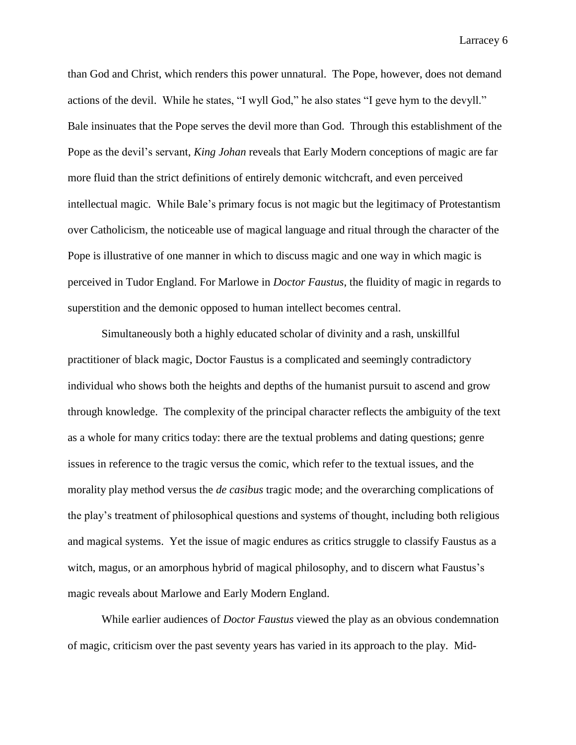than God and Christ, which renders this power unnatural. The Pope, however, does not demand actions of the devil. While he states, "I wyll God," he also states "I geve hym to the devyll." Bale insinuates that the Pope serves the devil more than God. Through this establishment of the Pope as the devil's servant, *King Johan* reveals that Early Modern conceptions of magic are far more fluid than the strict definitions of entirely demonic witchcraft, and even perceived intellectual magic. While Bale's primary focus is not magic but the legitimacy of Protestantism over Catholicism, the noticeable use of magical language and ritual through the character of the Pope is illustrative of one manner in which to discuss magic and one way in which magic is perceived in Tudor England. For Marlowe in *Doctor Faustus*, the fluidity of magic in regards to superstition and the demonic opposed to human intellect becomes central.

Simultaneously both a highly educated scholar of divinity and a rash, unskillful practitioner of black magic, Doctor Faustus is a complicated and seemingly contradictory individual who shows both the heights and depths of the humanist pursuit to ascend and grow through knowledge. The complexity of the principal character reflects the ambiguity of the text as a whole for many critics today: there are the textual problems and dating questions; genre issues in reference to the tragic versus the comic, which refer to the textual issues, and the morality play method versus the *de casibus* tragic mode; and the overarching complications of the play's treatment of philosophical questions and systems of thought, including both religious and magical systems. Yet the issue of magic endures as critics struggle to classify Faustus as a witch, magus, or an amorphous hybrid of magical philosophy, and to discern what Faustus's magic reveals about Marlowe and Early Modern England.

While earlier audiences of *Doctor Faustus* viewed the play as an obvious condemnation of magic, criticism over the past seventy years has varied in its approach to the play. Mid-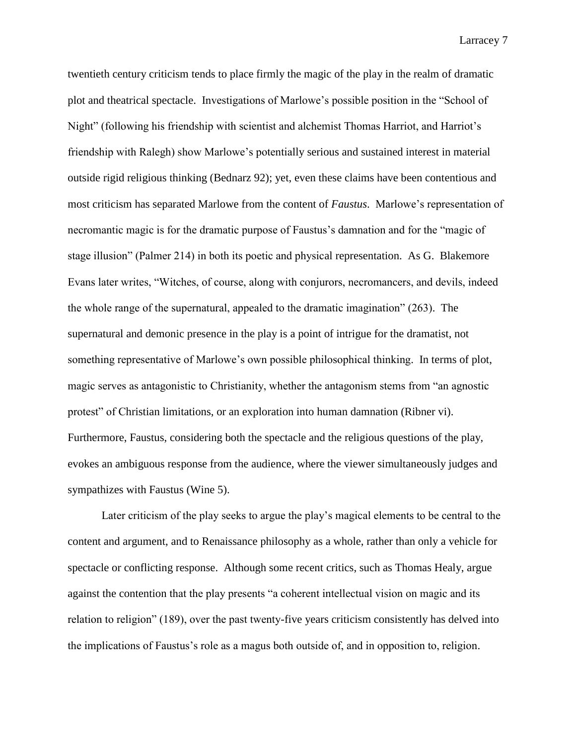twentieth century criticism tends to place firmly the magic of the play in the realm of dramatic plot and theatrical spectacle. Investigations of Marlowe's possible position in the "School of Night" (following his friendship with scientist and alchemist Thomas Harriot, and Harriot's friendship with Ralegh) show Marlowe's potentially serious and sustained interest in material outside rigid religious thinking (Bednarz 92); yet, even these claims have been contentious and most criticism has separated Marlowe from the content of *Faustus*. Marlowe's representation of necromantic magic is for the dramatic purpose of Faustus's damnation and for the "magic of stage illusion" (Palmer 214) in both its poetic and physical representation. As G. Blakemore Evans later writes, "Witches, of course, along with conjurors, necromancers, and devils, indeed the whole range of the supernatural, appealed to the dramatic imagination" (263). The supernatural and demonic presence in the play is a point of intrigue for the dramatist, not something representative of Marlowe's own possible philosophical thinking. In terms of plot, magic serves as antagonistic to Christianity, whether the antagonism stems from "an agnostic protest" of Christian limitations, or an exploration into human damnation (Ribner vi). Furthermore, Faustus, considering both the spectacle and the religious questions of the play, evokes an ambiguous response from the audience, where the viewer simultaneously judges and sympathizes with Faustus (Wine 5).

Later criticism of the play seeks to argue the play's magical elements to be central to the content and argument, and to Renaissance philosophy as a whole, rather than only a vehicle for spectacle or conflicting response. Although some recent critics, such as Thomas Healy, argue against the contention that the play presents "a coherent intellectual vision on magic and its relation to religion" (189), over the past twenty-five years criticism consistently has delved into the implications of Faustus's role as a magus both outside of, and in opposition to, religion.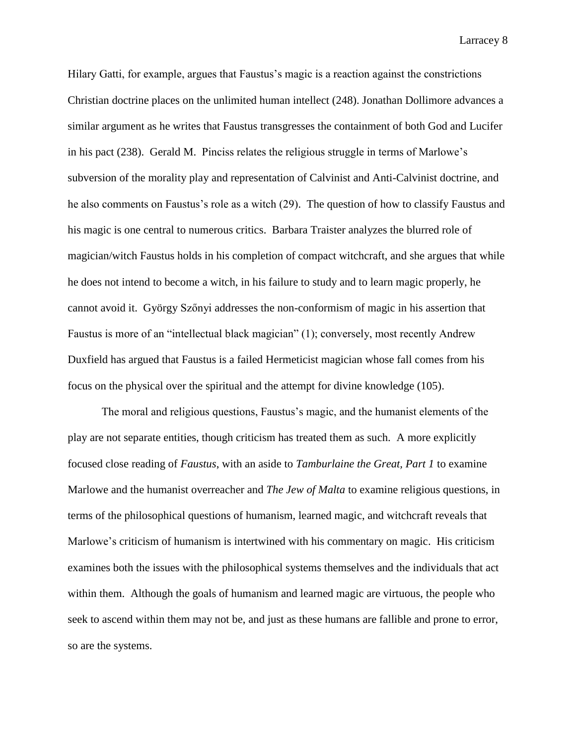Hilary Gatti, for example, argues that Faustus's magic is a reaction against the constrictions Christian doctrine places on the unlimited human intellect (248). Jonathan Dollimore advances a similar argument as he writes that Faustus transgresses the containment of both God and Lucifer in his pact (238). Gerald M. Pinciss relates the religious struggle in terms of Marlowe's subversion of the morality play and representation of Calvinist and Anti-Calvinist doctrine, and he also comments on Faustus's role as a witch (29). The question of how to classify Faustus and his magic is one central to numerous critics. Barbara Traister analyzes the blurred role of magician/witch Faustus holds in his completion of compact witchcraft, and she argues that while he does not intend to become a witch, in his failure to study and to learn magic properly, he cannot avoid it. György Szőnyi addresses the non-conformism of magic in his assertion that Faustus is more of an "intellectual black magician" (1); conversely, most recently Andrew Duxfield has argued that Faustus is a failed Hermeticist magician whose fall comes from his focus on the physical over the spiritual and the attempt for divine knowledge (105).

The moral and religious questions, Faustus's magic, and the humanist elements of the play are not separate entities, though criticism has treated them as such. A more explicitly focused close reading of *Faustus*, with an aside to *Tamburlaine the Great, Part 1* to examine Marlowe and the humanist overreacher and *The Jew of Malta* to examine religious questions, in terms of the philosophical questions of humanism, learned magic, and witchcraft reveals that Marlowe's criticism of humanism is intertwined with his commentary on magic. His criticism examines both the issues with the philosophical systems themselves and the individuals that act within them. Although the goals of humanism and learned magic are virtuous, the people who seek to ascend within them may not be, and just as these humans are fallible and prone to error, so are the systems.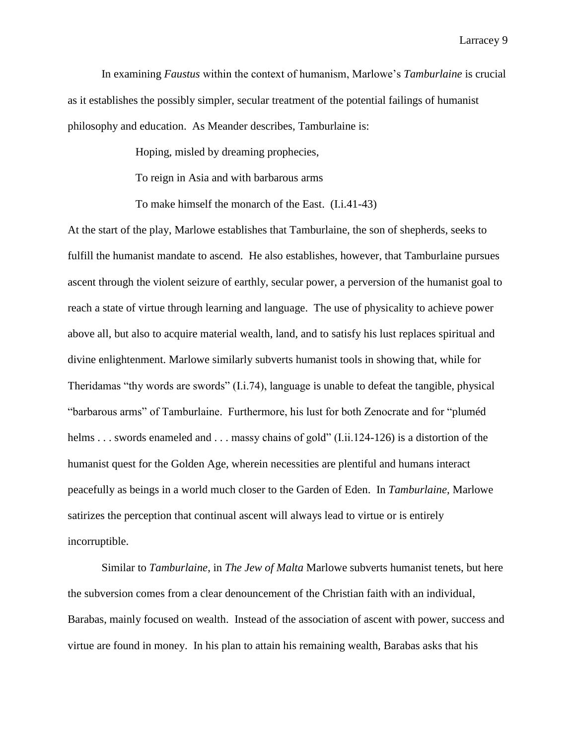In examining *Faustus* within the context of humanism, Marlowe's *Tamburlaine* is crucial as it establishes the possibly simpler, secular treatment of the potential failings of humanist philosophy and education. As Meander describes, Tamburlaine is:

Hoping, misled by dreaming prophecies,

To reign in Asia and with barbarous arms

To make himself the monarch of the East. (I.i.41-43)

At the start of the play, Marlowe establishes that Tamburlaine, the son of shepherds, seeks to fulfill the humanist mandate to ascend. He also establishes, however, that Tamburlaine pursues ascent through the violent seizure of earthly, secular power, a perversion of the humanist goal to reach a state of virtue through learning and language. The use of physicality to achieve power above all, but also to acquire material wealth, land, and to satisfy his lust replaces spiritual and divine enlightenment. Marlowe similarly subverts humanist tools in showing that, while for Theridamas "thy words are swords" (I.i.74), language is unable to defeat the tangible, physical "barbarous arms" of Tamburlaine. Furthermore, his lust for both Zenocrate and for "pluméd helms . . . swords enameled and . . . massy chains of gold" (I.ii.124-126) is a distortion of the humanist quest for the Golden Age, wherein necessities are plentiful and humans interact peacefully as beings in a world much closer to the Garden of Eden. In *Tamburlaine*, Marlowe satirizes the perception that continual ascent will always lead to virtue or is entirely incorruptible.

Similar to *Tamburlaine*, in *The Jew of Malta* Marlowe subverts humanist tenets, but here the subversion comes from a clear denouncement of the Christian faith with an individual, Barabas, mainly focused on wealth. Instead of the association of ascent with power, success and virtue are found in money. In his plan to attain his remaining wealth, Barabas asks that his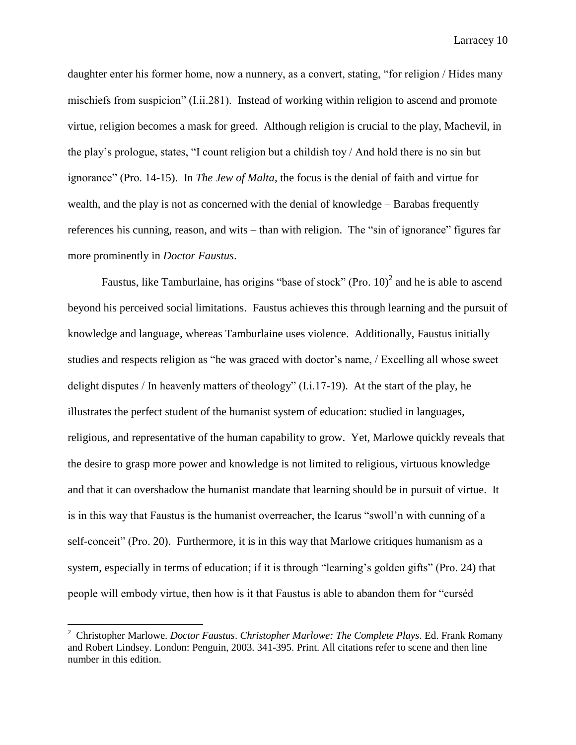daughter enter his former home, now a nunnery, as a convert, stating, "for religion / Hides many mischiefs from suspicion" (I.ii.281). Instead of working within religion to ascend and promote virtue, religion becomes a mask for greed. Although religion is crucial to the play, Machevil, in the play's prologue, states, "I count religion but a childish toy / And hold there is no sin but ignorance" (Pro. 14-15). In *The Jew of Malta*, the focus is the denial of faith and virtue for wealth, and the play is not as concerned with the denial of knowledge – Barabas frequently references his cunning, reason, and wits – than with religion. The "sin of ignorance" figures far more prominently in *Doctor Faustus*.

Faustus, like Tamburlaine, has origins "base of stock" (Pro.  $10)^2$  and he is able to ascend beyond his perceived social limitations. Faustus achieves this through learning and the pursuit of knowledge and language, whereas Tamburlaine uses violence. Additionally, Faustus initially studies and respects religion as "he was graced with doctor's name, / Excelling all whose sweet delight disputes / In heavenly matters of theology"  $(I.i.17-19)$ . At the start of the play, he illustrates the perfect student of the humanist system of education: studied in languages, religious, and representative of the human capability to grow. Yet, Marlowe quickly reveals that the desire to grasp more power and knowledge is not limited to religious, virtuous knowledge and that it can overshadow the humanist mandate that learning should be in pursuit of virtue. It is in this way that Faustus is the humanist overreacher, the Icarus "swoll'n with cunning of a self-conceit" (Pro. 20). Furthermore, it is in this way that Marlowe critiques humanism as a system, especially in terms of education; if it is through "learning's golden gifts" (Pro. 24) that people will embody virtue, then how is it that Faustus is able to abandon them for "curséd

l

<sup>2</sup> Christopher Marlowe. *Doctor Faustus*. *Christopher Marlowe: The Complete Plays*. Ed. Frank Romany and Robert Lindsey. London: Penguin, 2003. 341-395. Print. All citations refer to scene and then line number in this edition.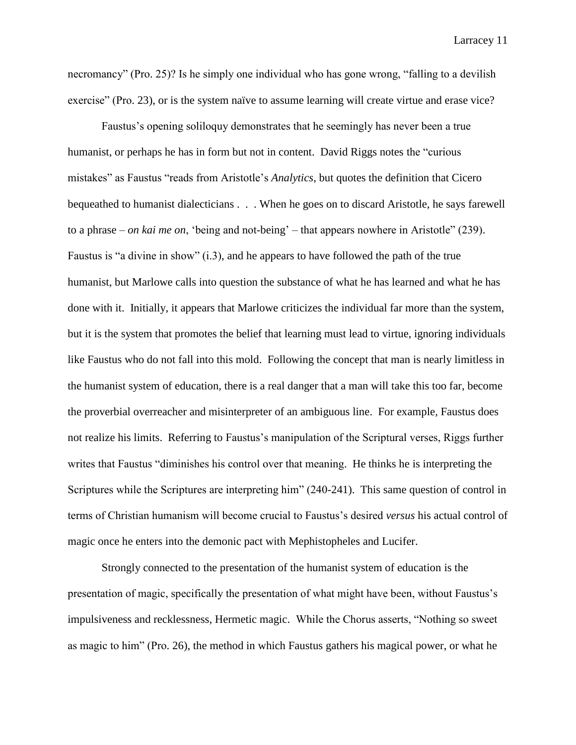necromancy" (Pro. 25)? Is he simply one individual who has gone wrong, "falling to a devilish exercise" (Pro. 23), or is the system naïve to assume learning will create virtue and erase vice?

Faustus's opening soliloquy demonstrates that he seemingly has never been a true humanist, or perhaps he has in form but not in content. David Riggs notes the "curious mistakes" as Faustus "reads from Aristotle's *Analytics*, but quotes the definition that Cicero bequeathed to humanist dialecticians . . . When he goes on to discard Aristotle, he says farewell to a phrase – *on kai me on*, 'being and not-being' – that appears nowhere in Aristotle" (239). Faustus is "a divine in show" (i.3), and he appears to have followed the path of the true humanist, but Marlowe calls into question the substance of what he has learned and what he has done with it. Initially, it appears that Marlowe criticizes the individual far more than the system, but it is the system that promotes the belief that learning must lead to virtue, ignoring individuals like Faustus who do not fall into this mold. Following the concept that man is nearly limitless in the humanist system of education, there is a real danger that a man will take this too far, become the proverbial overreacher and misinterpreter of an ambiguous line. For example, Faustus does not realize his limits. Referring to Faustus's manipulation of the Scriptural verses, Riggs further writes that Faustus "diminishes his control over that meaning. He thinks he is interpreting the Scriptures while the Scriptures are interpreting him" (240-241). This same question of control in terms of Christian humanism will become crucial to Faustus's desired *versus* his actual control of magic once he enters into the demonic pact with Mephistopheles and Lucifer.

Strongly connected to the presentation of the humanist system of education is the presentation of magic, specifically the presentation of what might have been, without Faustus's impulsiveness and recklessness, Hermetic magic. While the Chorus asserts, "Nothing so sweet as magic to him" (Pro. 26), the method in which Faustus gathers his magical power, or what he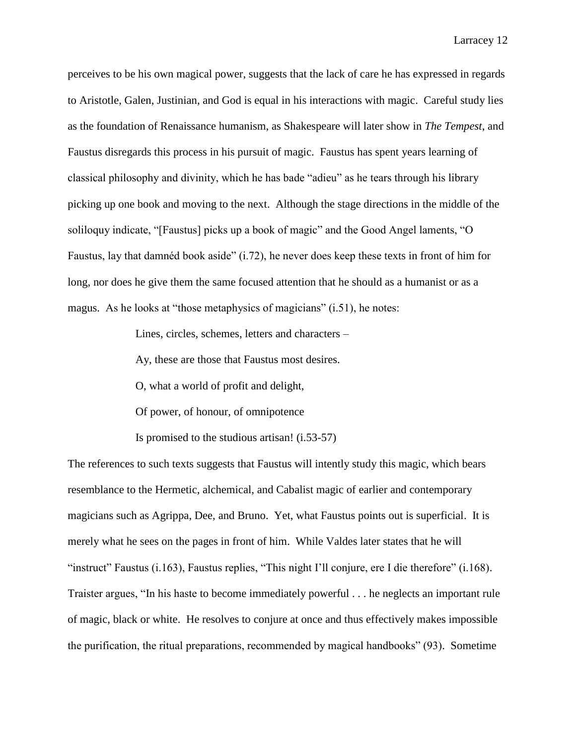perceives to be his own magical power, suggests that the lack of care he has expressed in regards to Aristotle, Galen, Justinian, and God is equal in his interactions with magic. Careful study lies as the foundation of Renaissance humanism, as Shakespeare will later show in *The Tempest*, and Faustus disregards this process in his pursuit of magic. Faustus has spent years learning of classical philosophy and divinity, which he has bade "adieu" as he tears through his library picking up one book and moving to the next. Although the stage directions in the middle of the soliloquy indicate, "[Faustus] picks up a book of magic" and the Good Angel laments, "O Faustus, lay that damnéd book aside" (i.72), he never does keep these texts in front of him for long, nor does he give them the same focused attention that he should as a humanist or as a magus. As he looks at "those metaphysics of magicians" (i.51), he notes:

Lines, circles, schemes, letters and characters –

Ay, these are those that Faustus most desires.

O, what a world of profit and delight,

Of power, of honour, of omnipotence

Is promised to the studious artisan! (i.53-57)

The references to such texts suggests that Faustus will intently study this magic, which bears resemblance to the Hermetic, alchemical, and Cabalist magic of earlier and contemporary magicians such as Agrippa, Dee, and Bruno. Yet, what Faustus points out is superficial. It is merely what he sees on the pages in front of him. While Valdes later states that he will "instruct" Faustus (i.163), Faustus replies, "This night I'll conjure, ere I die therefore" (i.168). Traister argues, "In his haste to become immediately powerful . . . he neglects an important rule of magic, black or white. He resolves to conjure at once and thus effectively makes impossible the purification, the ritual preparations, recommended by magical handbooks" (93). Sometime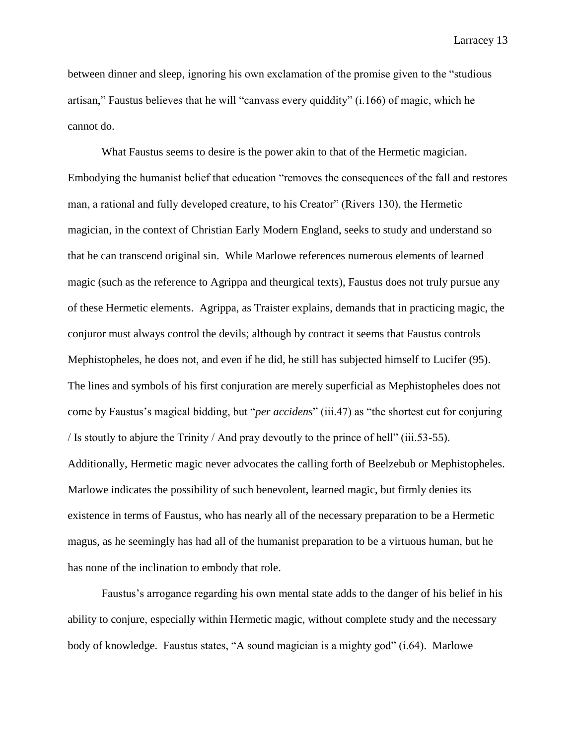between dinner and sleep, ignoring his own exclamation of the promise given to the "studious artisan," Faustus believes that he will "canvass every quiddity" (i.166) of magic, which he cannot do.

What Faustus seems to desire is the power akin to that of the Hermetic magician. Embodying the humanist belief that education "removes the consequences of the fall and restores man, a rational and fully developed creature, to his Creator" (Rivers 130), the Hermetic magician, in the context of Christian Early Modern England, seeks to study and understand so that he can transcend original sin. While Marlowe references numerous elements of learned magic (such as the reference to Agrippa and theurgical texts), Faustus does not truly pursue any of these Hermetic elements. Agrippa, as Traister explains, demands that in practicing magic, the conjuror must always control the devils; although by contract it seems that Faustus controls Mephistopheles, he does not, and even if he did, he still has subjected himself to Lucifer (95). The lines and symbols of his first conjuration are merely superficial as Mephistopheles does not come by Faustus's magical bidding, but "*per accidens*" (iii.47) as "the shortest cut for conjuring / Is stoutly to abjure the Trinity / And pray devoutly to the prince of hell" (iii.53-55). Additionally, Hermetic magic never advocates the calling forth of Beelzebub or Mephistopheles. Marlowe indicates the possibility of such benevolent, learned magic, but firmly denies its existence in terms of Faustus, who has nearly all of the necessary preparation to be a Hermetic magus, as he seemingly has had all of the humanist preparation to be a virtuous human, but he has none of the inclination to embody that role.

Faustus's arrogance regarding his own mental state adds to the danger of his belief in his ability to conjure, especially within Hermetic magic, without complete study and the necessary body of knowledge. Faustus states, "A sound magician is a mighty god" (i.64). Marlowe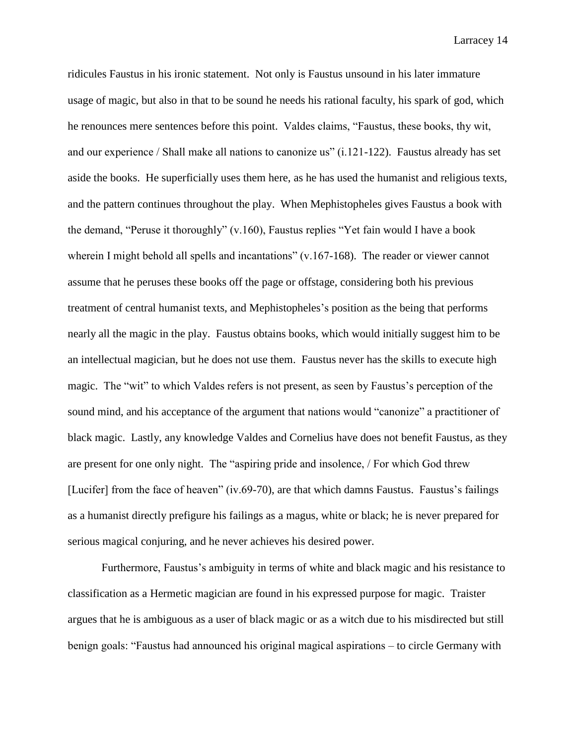ridicules Faustus in his ironic statement. Not only is Faustus unsound in his later immature usage of magic, but also in that to be sound he needs his rational faculty, his spark of god, which he renounces mere sentences before this point. Valdes claims, "Faustus, these books, thy wit, and our experience / Shall make all nations to canonize us" (i.121-122). Faustus already has set aside the books. He superficially uses them here, as he has used the humanist and religious texts, and the pattern continues throughout the play. When Mephistopheles gives Faustus a book with the demand, "Peruse it thoroughly" (v.160), Faustus replies "Yet fain would I have a book wherein I might behold all spells and incantations" (v.167-168). The reader or viewer cannot assume that he peruses these books off the page or offstage, considering both his previous treatment of central humanist texts, and Mephistopheles's position as the being that performs nearly all the magic in the play. Faustus obtains books, which would initially suggest him to be an intellectual magician, but he does not use them. Faustus never has the skills to execute high magic. The "wit" to which Valdes refers is not present, as seen by Faustus's perception of the sound mind, and his acceptance of the argument that nations would "canonize" a practitioner of black magic. Lastly, any knowledge Valdes and Cornelius have does not benefit Faustus, as they are present for one only night. The "aspiring pride and insolence, / For which God threw [Lucifer] from the face of heaven" (iv.69-70), are that which damns Faustus. Faustus's failings as a humanist directly prefigure his failings as a magus, white or black; he is never prepared for serious magical conjuring, and he never achieves his desired power.

Furthermore, Faustus's ambiguity in terms of white and black magic and his resistance to classification as a Hermetic magician are found in his expressed purpose for magic. Traister argues that he is ambiguous as a user of black magic or as a witch due to his misdirected but still benign goals: "Faustus had announced his original magical aspirations – to circle Germany with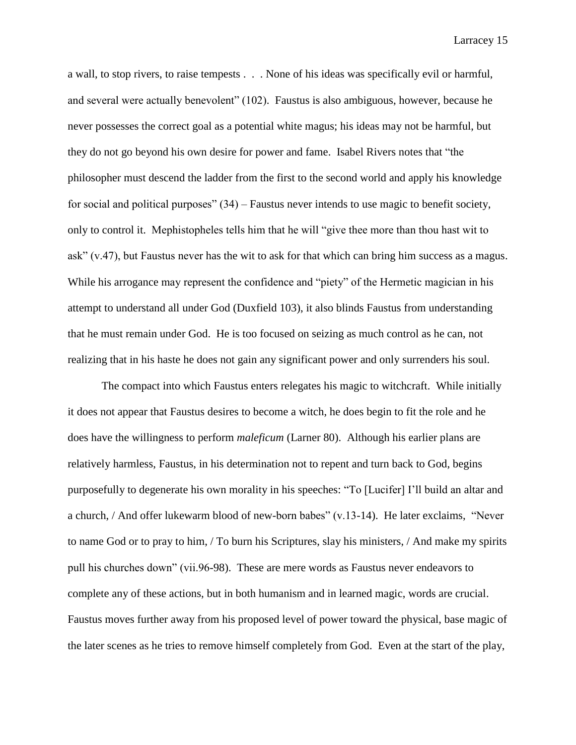a wall, to stop rivers, to raise tempests . . . None of his ideas was specifically evil or harmful, and several were actually benevolent" (102). Faustus is also ambiguous, however, because he never possesses the correct goal as a potential white magus; his ideas may not be harmful, but they do not go beyond his own desire for power and fame. Isabel Rivers notes that "the philosopher must descend the ladder from the first to the second world and apply his knowledge for social and political purposes" (34) – Faustus never intends to use magic to benefit society, only to control it. Mephistopheles tells him that he will "give thee more than thou hast wit to ask" (v.47), but Faustus never has the wit to ask for that which can bring him success as a magus. While his arrogance may represent the confidence and "piety" of the Hermetic magician in his attempt to understand all under God (Duxfield 103), it also blinds Faustus from understanding that he must remain under God. He is too focused on seizing as much control as he can, not realizing that in his haste he does not gain any significant power and only surrenders his soul.

The compact into which Faustus enters relegates his magic to witchcraft. While initially it does not appear that Faustus desires to become a witch, he does begin to fit the role and he does have the willingness to perform *maleficum* (Larner 80). Although his earlier plans are relatively harmless, Faustus, in his determination not to repent and turn back to God, begins purposefully to degenerate his own morality in his speeches: "To [Lucifer] I'll build an altar and a church, / And offer lukewarm blood of new-born babes" (v.13-14). He later exclaims, "Never to name God or to pray to him, / To burn his Scriptures, slay his ministers, / And make my spirits pull his churches down" (vii.96-98). These are mere words as Faustus never endeavors to complete any of these actions, but in both humanism and in learned magic, words are crucial. Faustus moves further away from his proposed level of power toward the physical, base magic of the later scenes as he tries to remove himself completely from God. Even at the start of the play,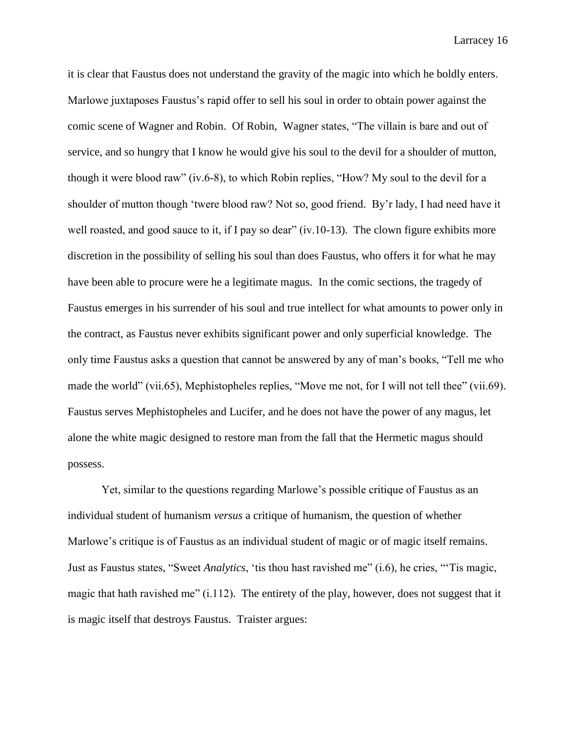it is clear that Faustus does not understand the gravity of the magic into which he boldly enters. Marlowe juxtaposes Faustus's rapid offer to sell his soul in order to obtain power against the comic scene of Wagner and Robin. Of Robin, Wagner states, "The villain is bare and out of service, and so hungry that I know he would give his soul to the devil for a shoulder of mutton, though it were blood raw" (iv.6-8), to which Robin replies, "How? My soul to the devil for a shoulder of mutton though 'twere blood raw? Not so, good friend. By'r lady, I had need have it well roasted, and good sauce to it, if I pay so dear" (iv.10-13). The clown figure exhibits more discretion in the possibility of selling his soul than does Faustus, who offers it for what he may have been able to procure were he a legitimate magus. In the comic sections, the tragedy of Faustus emerges in his surrender of his soul and true intellect for what amounts to power only in the contract, as Faustus never exhibits significant power and only superficial knowledge. The only time Faustus asks a question that cannot be answered by any of man's books, "Tell me who made the world" (vii.65), Mephistopheles replies, "Move me not, for I will not tell thee" (vii.69). Faustus serves Mephistopheles and Lucifer, and he does not have the power of any magus, let alone the white magic designed to restore man from the fall that the Hermetic magus should possess.

Yet, similar to the questions regarding Marlowe's possible critique of Faustus as an individual student of humanism *versus* a critique of humanism, the question of whether Marlowe's critique is of Faustus as an individual student of magic or of magic itself remains. Just as Faustus states, "Sweet *Analytics*, 'tis thou hast ravished me" (i.6), he cries, "'Tis magic, magic that hath ravished me" (i.112). The entirety of the play, however, does not suggest that it is magic itself that destroys Faustus. Traister argues: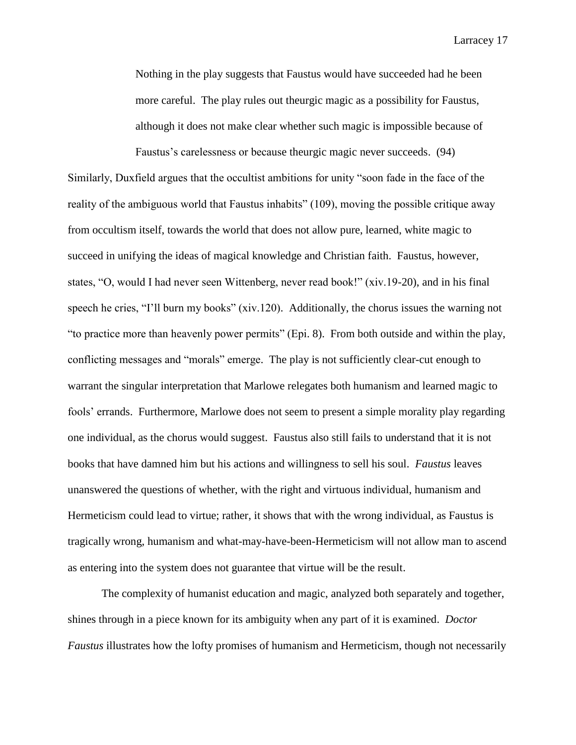Nothing in the play suggests that Faustus would have succeeded had he been more careful. The play rules out theurgic magic as a possibility for Faustus, although it does not make clear whether such magic is impossible because of

Faustus's carelessness or because theurgic magic never succeeds. (94) Similarly, Duxfield argues that the occultist ambitions for unity "soon fade in the face of the reality of the ambiguous world that Faustus inhabits" (109), moving the possible critique away from occultism itself, towards the world that does not allow pure, learned, white magic to succeed in unifying the ideas of magical knowledge and Christian faith. Faustus, however, states, "O, would I had never seen Wittenberg, never read book!" (xiv.19-20), and in his final speech he cries, "I'll burn my books" (xiv.120). Additionally, the chorus issues the warning not "to practice more than heavenly power permits" (Epi. 8). From both outside and within the play, conflicting messages and "morals" emerge. The play is not sufficiently clear-cut enough to warrant the singular interpretation that Marlowe relegates both humanism and learned magic to fools' errands. Furthermore, Marlowe does not seem to present a simple morality play regarding one individual, as the chorus would suggest. Faustus also still fails to understand that it is not books that have damned him but his actions and willingness to sell his soul. *Faustus* leaves unanswered the questions of whether, with the right and virtuous individual, humanism and Hermeticism could lead to virtue; rather, it shows that with the wrong individual, as Faustus is tragically wrong, humanism and what-may-have-been-Hermeticism will not allow man to ascend as entering into the system does not guarantee that virtue will be the result.

The complexity of humanist education and magic, analyzed both separately and together, shines through in a piece known for its ambiguity when any part of it is examined. *Doctor Faustus* illustrates how the lofty promises of humanism and Hermeticism, though not necessarily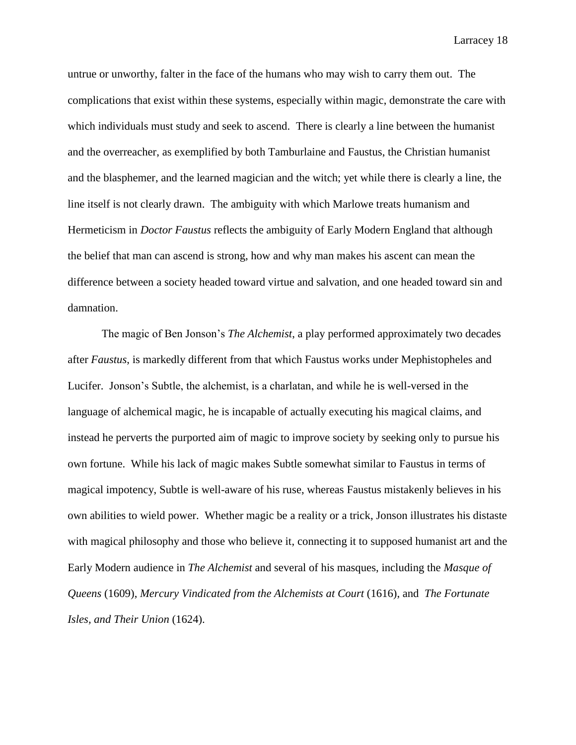untrue or unworthy, falter in the face of the humans who may wish to carry them out. The complications that exist within these systems, especially within magic, demonstrate the care with which individuals must study and seek to ascend. There is clearly a line between the humanist and the overreacher, as exemplified by both Tamburlaine and Faustus, the Christian humanist and the blasphemer, and the learned magician and the witch; yet while there is clearly a line, the line itself is not clearly drawn. The ambiguity with which Marlowe treats humanism and Hermeticism in *Doctor Faustus* reflects the ambiguity of Early Modern England that although the belief that man can ascend is strong, how and why man makes his ascent can mean the difference between a society headed toward virtue and salvation, and one headed toward sin and damnation.

The magic of Ben Jonson's *The Alchemist*, a play performed approximately two decades after *Faustus*, is markedly different from that which Faustus works under Mephistopheles and Lucifer.Jonson's Subtle, the alchemist, is a charlatan, and while he is well-versed in the language of alchemical magic, he is incapable of actually executing his magical claims, and instead he perverts the purported aim of magic to improve society by seeking only to pursue his own fortune. While his lack of magic makes Subtle somewhat similar to Faustus in terms of magical impotency, Subtle is well-aware of his ruse, whereas Faustus mistakenly believes in his own abilities to wield power. Whether magic be a reality or a trick, Jonson illustrates his distaste with magical philosophy and those who believe it, connecting it to supposed humanist art and the Early Modern audience in *The Alchemist* and several of his masques, including the *Masque of Queens* (1609), *Mercury Vindicated from the Alchemists at Court* (1616), and *The Fortunate Isles, and Their Union* (1624).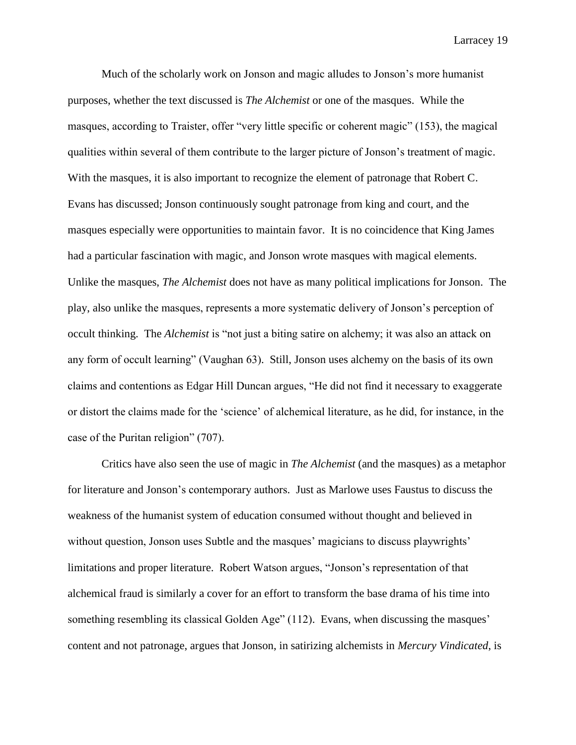Much of the scholarly work on Jonson and magic alludes to Jonson's more humanist purposes, whether the text discussed is *The Alchemist* or one of the masques. While the masques, according to Traister, offer "very little specific or coherent magic" (153), the magical qualities within several of them contribute to the larger picture of Jonson's treatment of magic. With the masques, it is also important to recognize the element of patronage that Robert C. Evans has discussed; Jonson continuously sought patronage from king and court, and the masques especially were opportunities to maintain favor. It is no coincidence that King James had a particular fascination with magic, and Jonson wrote masques with magical elements. Unlike the masques, *The Alchemist* does not have as many political implications for Jonson. The play, also unlike the masques, represents a more systematic delivery of Jonson's perception of occult thinking. The *Alchemist* is "not just a biting satire on alchemy; it was also an attack on any form of occult learning" (Vaughan 63). Still, Jonson uses alchemy on the basis of its own claims and contentions as Edgar Hill Duncan argues, "He did not find it necessary to exaggerate or distort the claims made for the 'science' of alchemical literature, as he did, for instance, in the case of the Puritan religion" (707).

Critics have also seen the use of magic in *The Alchemist* (and the masques) as a metaphor for literature and Jonson's contemporary authors. Just as Marlowe uses Faustus to discuss the weakness of the humanist system of education consumed without thought and believed in without question, Jonson uses Subtle and the masques' magicians to discuss playwrights' limitations and proper literature. Robert Watson argues, "Jonson's representation of that alchemical fraud is similarly a cover for an effort to transform the base drama of his time into something resembling its classical Golden Age" (112). Evans, when discussing the masques' content and not patronage, argues that Jonson, in satirizing alchemists in *Mercury Vindicated*, is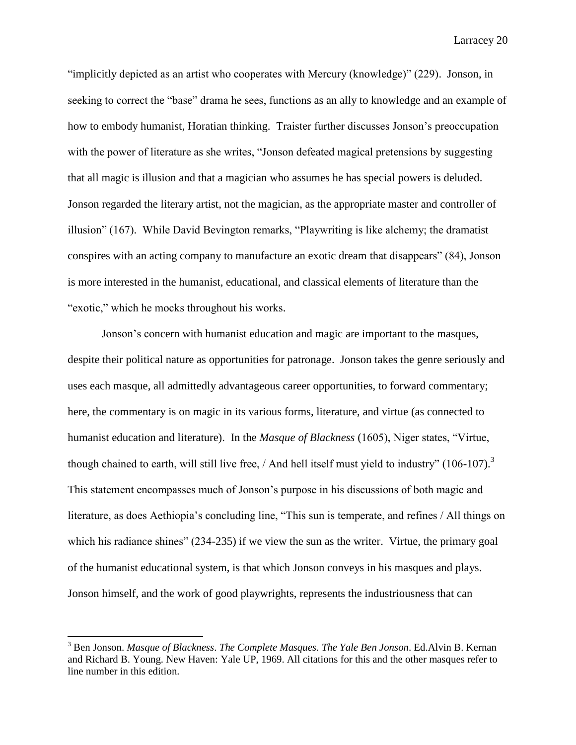"implicitly depicted as an artist who cooperates with Mercury (knowledge)" (229). Jonson, in seeking to correct the "base" drama he sees, functions as an ally to knowledge and an example of how to embody humanist, Horatian thinking. Traister further discusses Jonson's preoccupation with the power of literature as she writes, "Jonson defeated magical pretensions by suggesting that all magic is illusion and that a magician who assumes he has special powers is deluded. Jonson regarded the literary artist, not the magician, as the appropriate master and controller of illusion" (167). While David Bevington remarks, "Playwriting is like alchemy; the dramatist conspires with an acting company to manufacture an exotic dream that disappears" (84), Jonson is more interested in the humanist, educational, and classical elements of literature than the "exotic," which he mocks throughout his works.

Jonson's concern with humanist education and magic are important to the masques, despite their political nature as opportunities for patronage. Jonson takes the genre seriously and uses each masque, all admittedly advantageous career opportunities, to forward commentary; here, the commentary is on magic in its various forms, literature, and virtue (as connected to humanist education and literature). In the *Masque of Blackness* (1605), Niger states, "Virtue, though chained to earth, will still live free,  $/$  And hell itself must yield to industry" (106-107).<sup>3</sup> This statement encompasses much of Jonson's purpose in his discussions of both magic and literature, as does Aethiopia's concluding line, "This sun is temperate, and refines / All things on which his radiance shines" (234-235) if we view the sun as the writer. Virtue, the primary goal of the humanist educational system, is that which Jonson conveys in his masques and plays. Jonson himself, and the work of good playwrights, represents the industriousness that can

 $\overline{a}$ 

<sup>3</sup> Ben Jonson. *Masque of Blackness*. *The Complete Masques. The Yale Ben Jonson*. Ed.Alvin B. Kernan and Richard B. Young. New Haven: Yale UP, 1969. All citations for this and the other masques refer to line number in this edition.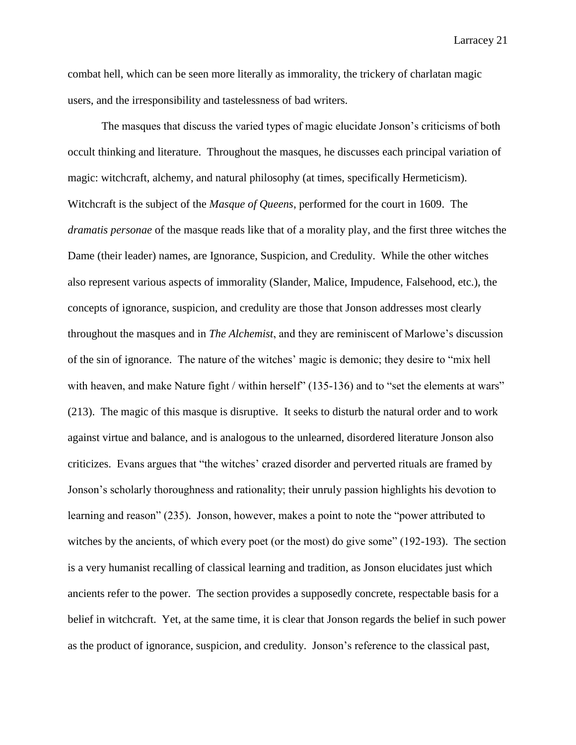combat hell, which can be seen more literally as immorality, the trickery of charlatan magic users, and the irresponsibility and tastelessness of bad writers.

The masques that discuss the varied types of magic elucidate Jonson's criticisms of both occult thinking and literature. Throughout the masques, he discusses each principal variation of magic: witchcraft, alchemy, and natural philosophy (at times, specifically Hermeticism). Witchcraft is the subject of the *Masque of Queens*, performed for the court in 1609. The *dramatis personae* of the masque reads like that of a morality play, and the first three witches the Dame (their leader) names, are Ignorance, Suspicion, and Credulity. While the other witches also represent various aspects of immorality (Slander, Malice, Impudence, Falsehood, etc.), the concepts of ignorance, suspicion, and credulity are those that Jonson addresses most clearly throughout the masques and in *The Alchemist*, and they are reminiscent of Marlowe's discussion of the sin of ignorance. The nature of the witches' magic is demonic; they desire to "mix hell with heaven, and make Nature fight / within herself" (135-136) and to "set the elements at wars" (213). The magic of this masque is disruptive. It seeks to disturb the natural order and to work against virtue and balance, and is analogous to the unlearned, disordered literature Jonson also criticizes. Evans argues that "the witches' crazed disorder and perverted rituals are framed by Jonson's scholarly thoroughness and rationality; their unruly passion highlights his devotion to learning and reason" (235). Jonson, however, makes a point to note the "power attributed to witches by the ancients, of which every poet (or the most) do give some" (192-193). The section is a very humanist recalling of classical learning and tradition, as Jonson elucidates just which ancients refer to the power. The section provides a supposedly concrete, respectable basis for a belief in witchcraft. Yet, at the same time, it is clear that Jonson regards the belief in such power as the product of ignorance, suspicion, and credulity. Jonson's reference to the classical past,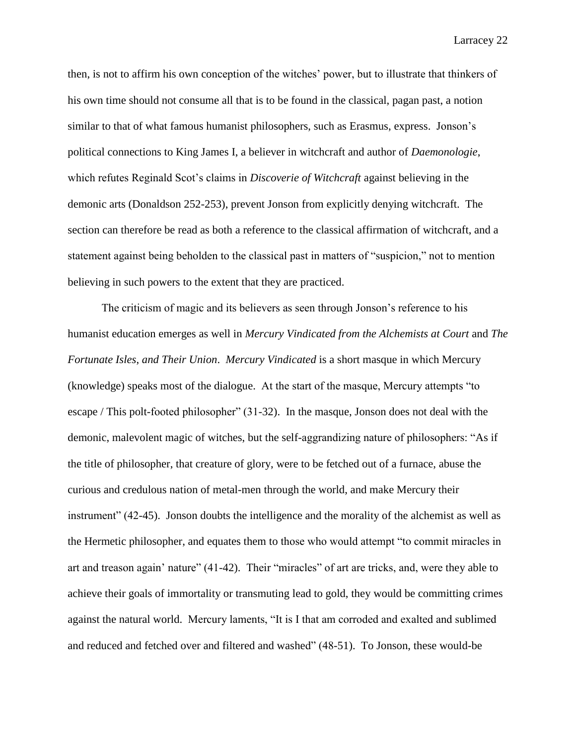then, is not to affirm his own conception of the witches' power, but to illustrate that thinkers of his own time should not consume all that is to be found in the classical, pagan past, a notion similar to that of what famous humanist philosophers, such as Erasmus, express. Jonson's political connections to King James I, a believer in witchcraft and author of *Daemonologie*, which refutes Reginald Scot's claims in *Discoverie of Witchcraft* against believing in the demonic arts (Donaldson 252-253), prevent Jonson from explicitly denying witchcraft. The section can therefore be read as both a reference to the classical affirmation of witchcraft, and a statement against being beholden to the classical past in matters of "suspicion," not to mention believing in such powers to the extent that they are practiced.

The criticism of magic and its believers as seen through Jonson's reference to his humanist education emerges as well in *Mercury Vindicated from the Alchemists at Court* and *The Fortunate Isles*, *and Their Union*. *Mercury Vindicated* is a short masque in which Mercury (knowledge) speaks most of the dialogue. At the start of the masque, Mercury attempts "to escape / This polt-footed philosopher" (31-32). In the masque, Jonson does not deal with the demonic, malevolent magic of witches, but the self-aggrandizing nature of philosophers: "As if the title of philosopher, that creature of glory, were to be fetched out of a furnace, abuse the curious and credulous nation of metal-men through the world, and make Mercury their instrument" (42-45). Jonson doubts the intelligence and the morality of the alchemist as well as the Hermetic philosopher, and equates them to those who would attempt "to commit miracles in art and treason again' nature" (41-42). Their "miracles" of art are tricks, and, were they able to achieve their goals of immortality or transmuting lead to gold, they would be committing crimes against the natural world. Mercury laments, "It is I that am corroded and exalted and sublimed and reduced and fetched over and filtered and washed" (48-51). To Jonson, these would-be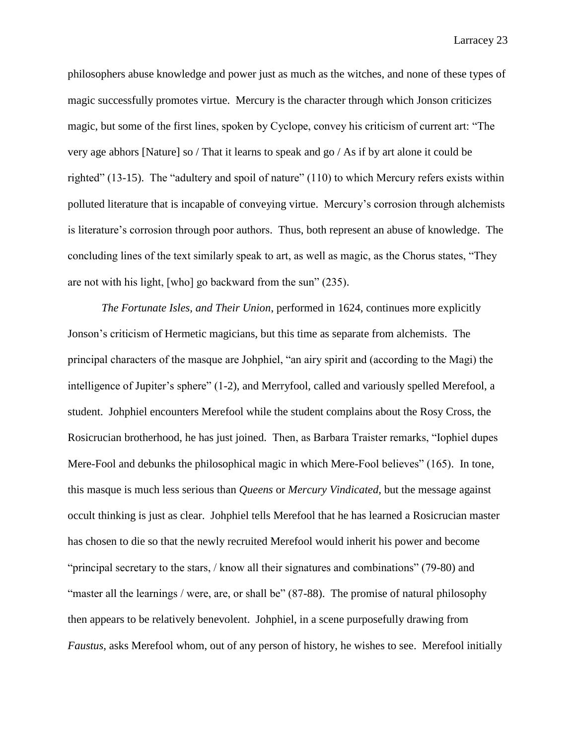philosophers abuse knowledge and power just as much as the witches, and none of these types of magic successfully promotes virtue. Mercury is the character through which Jonson criticizes magic, but some of the first lines, spoken by Cyclope, convey his criticism of current art: "The very age abhors [Nature] so / That it learns to speak and go / As if by art alone it could be righted" (13-15). The "adultery and spoil of nature" (110) to which Mercury refers exists within polluted literature that is incapable of conveying virtue. Mercury's corrosion through alchemists is literature's corrosion through poor authors. Thus, both represent an abuse of knowledge. The concluding lines of the text similarly speak to art, as well as magic, as the Chorus states, "They are not with his light, [who] go backward from the sun" (235).

*The Fortunate Isles, and Their Union*, performed in 1624, continues more explicitly Jonson's criticism of Hermetic magicians, but this time as separate from alchemists. The principal characters of the masque are Johphiel, "an airy spirit and (according to the Magi) the intelligence of Jupiter's sphere" (1-2), and Merryfool, called and variously spelled Merefool, a student. Johphiel encounters Merefool while the student complains about the Rosy Cross, the Rosicrucian brotherhood, he has just joined. Then, as Barbara Traister remarks, "Iophiel dupes Mere-Fool and debunks the philosophical magic in which Mere-Fool believes" (165). In tone, this masque is much less serious than *Queens* or *Mercury Vindicated*, but the message against occult thinking is just as clear. Johphiel tells Merefool that he has learned a Rosicrucian master has chosen to die so that the newly recruited Merefool would inherit his power and become "principal secretary to the stars, / know all their signatures and combinations" (79-80) and "master all the learnings / were, are, or shall be" (87-88). The promise of natural philosophy then appears to be relatively benevolent. Johphiel, in a scene purposefully drawing from *Faustus*, asks Merefool whom, out of any person of history, he wishes to see. Merefool initially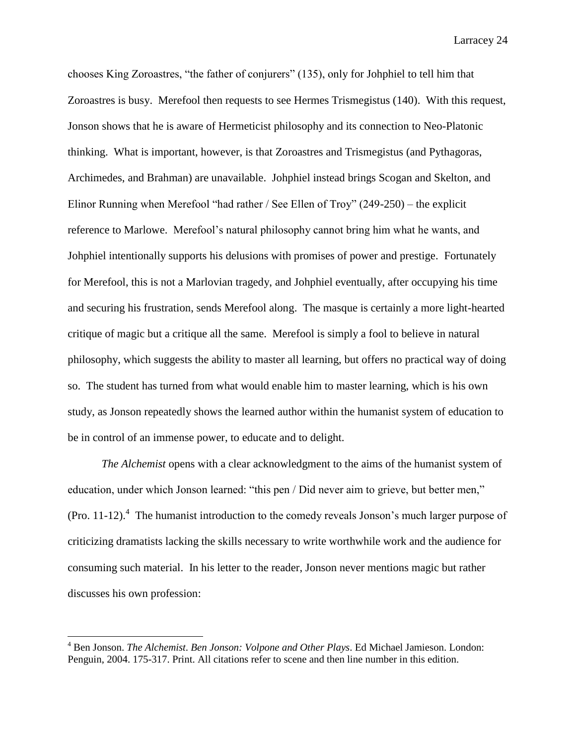chooses King Zoroastres, "the father of conjurers" (135), only for Johphiel to tell him that Zoroastres is busy. Merefool then requests to see Hermes Trismegistus (140). With this request, Jonson shows that he is aware of Hermeticist philosophy and its connection to Neo-Platonic thinking. What is important, however, is that Zoroastres and Trismegistus (and Pythagoras, Archimedes, and Brahman) are unavailable. Johphiel instead brings Scogan and Skelton, and Elinor Running when Merefool "had rather / See Ellen of Troy" (249-250) – the explicit reference to Marlowe. Merefool's natural philosophy cannot bring him what he wants, and Johphiel intentionally supports his delusions with promises of power and prestige. Fortunately for Merefool, this is not a Marlovian tragedy, and Johphiel eventually, after occupying his time and securing his frustration, sends Merefool along. The masque is certainly a more light-hearted critique of magic but a critique all the same. Merefool is simply a fool to believe in natural philosophy, which suggests the ability to master all learning, but offers no practical way of doing so. The student has turned from what would enable him to master learning, which is his own study, as Jonson repeatedly shows the learned author within the humanist system of education to be in control of an immense power, to educate and to delight.

*The Alchemist* opens with a clear acknowledgment to the aims of the humanist system of education, under which Jonson learned: "this pen / Did never aim to grieve, but better men," (Pro. 11-12).<sup>4</sup> The humanist introduction to the comedy reveals Jonson's much larger purpose of criticizing dramatists lacking the skills necessary to write worthwhile work and the audience for consuming such material. In his letter to the reader, Jonson never mentions magic but rather discusses his own profession:

 $\overline{a}$ 

<sup>4</sup> Ben Jonson. *The Alchemist*. *Ben Jonson: Volpone and Other Plays*. Ed Michael Jamieson. London: Penguin, 2004. 175-317. Print. All citations refer to scene and then line number in this edition.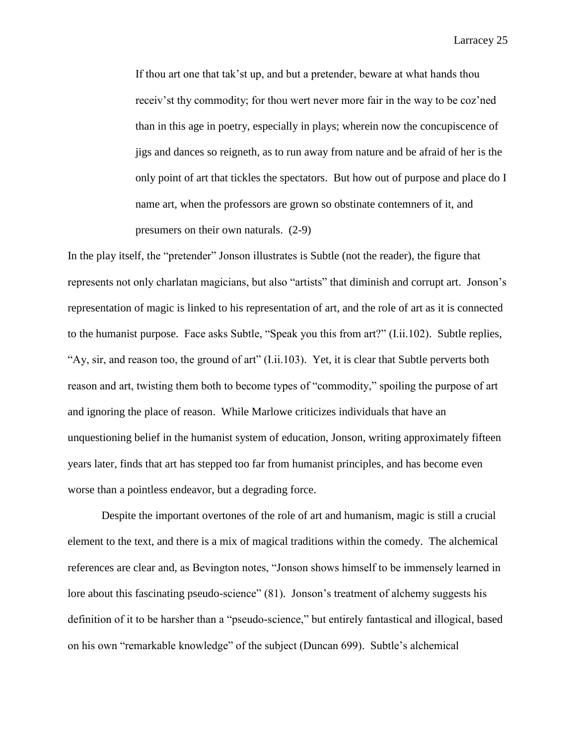If thou art one that tak'st up, and but a pretender, beware at what hands thou receiv'st thy commodity; for thou wert never more fair in the way to be coz'ned than in this age in poetry, especially in plays; wherein now the concupiscence of jigs and dances so reigneth, as to run away from nature and be afraid of her is the only point of art that tickles the spectators. But how out of purpose and place do I name art, when the professors are grown so obstinate contemners of it, and presumers on their own naturals. (2-9)

In the play itself, the "pretender" Jonson illustrates is Subtle (not the reader), the figure that represents not only charlatan magicians, but also "artists" that diminish and corrupt art. Jonson's representation of magic is linked to his representation of art, and the role of art as it is connected to the humanist purpose. Face asks Subtle, "Speak you this from art?" (I.ii.102). Subtle replies, "Ay, sir, and reason too, the ground of art" (I.ii.103). Yet, it is clear that Subtle perverts both reason and art, twisting them both to become types of "commodity," spoiling the purpose of art and ignoring the place of reason. While Marlowe criticizes individuals that have an unquestioning belief in the humanist system of education, Jonson, writing approximately fifteen years later, finds that art has stepped too far from humanist principles, and has become even worse than a pointless endeavor, but a degrading force.

Despite the important overtones of the role of art and humanism, magic is still a crucial element to the text, and there is a mix of magical traditions within the comedy. The alchemical references are clear and, as Bevington notes, "Jonson shows himself to be immensely learned in lore about this fascinating pseudo-science" (81). Jonson's treatment of alchemy suggests his definition of it to be harsher than a "pseudo-science," but entirely fantastical and illogical, based on his own "remarkable knowledge" of the subject (Duncan 699). Subtle's alchemical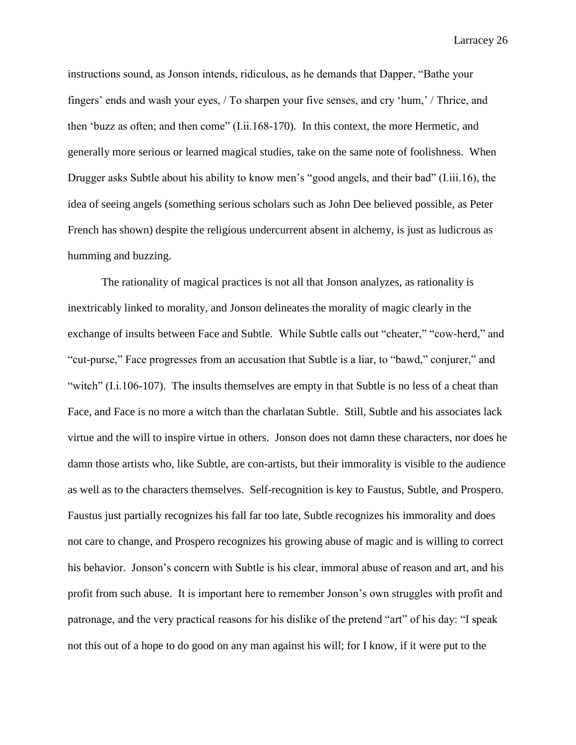instructions sound, as Jonson intends, ridiculous, as he demands that Dapper, "Bathe your fingers' ends and wash your eyes, / To sharpen your five senses, and cry 'hum,' / Thrice, and then 'buzz as often; and then come" (I.ii.168-170). In this context, the more Hermetic, and generally more serious or learned magical studies, take on the same note of foolishness. When Drugger asks Subtle about his ability to know men's "good angels, and their bad" (I.iii.16), the idea of seeing angels (something serious scholars such as John Dee believed possible, as Peter French has shown) despite the religious undercurrent absent in alchemy, is just as ludicrous as humming and buzzing.

The rationality of magical practices is not all that Jonson analyzes, as rationality is inextricably linked to morality, and Jonson delineates the morality of magic clearly in the exchange of insults between Face and Subtle. While Subtle calls out "cheater," "cow-herd," and "cut-purse," Face progresses from an accusation that Subtle is a liar, to "bawd," conjurer," and "witch" (I.i.106-107). The insults themselves are empty in that Subtle is no less of a cheat than Face, and Face is no more a witch than the charlatan Subtle. Still, Subtle and his associates lack virtue and the will to inspire virtue in others. Jonson does not damn these characters, nor does he damn those artists who, like Subtle, are con-artists, but their immorality is visible to the audience as well as to the characters themselves. Self-recognition is key to Faustus, Subtle, and Prospero. Faustus just partially recognizes his fall far too late, Subtle recognizes his immorality and does not care to change, and Prospero recognizes his growing abuse of magic and is willing to correct his behavior. Jonson's concern with Subtle is his clear, immoral abuse of reason and art, and his profit from such abuse. It is important here to remember Jonson's own struggles with profit and patronage, and the very practical reasons for his dislike of the pretend "art" of his day: "I speak not this out of a hope to do good on any man against his will; for I know, if it were put to the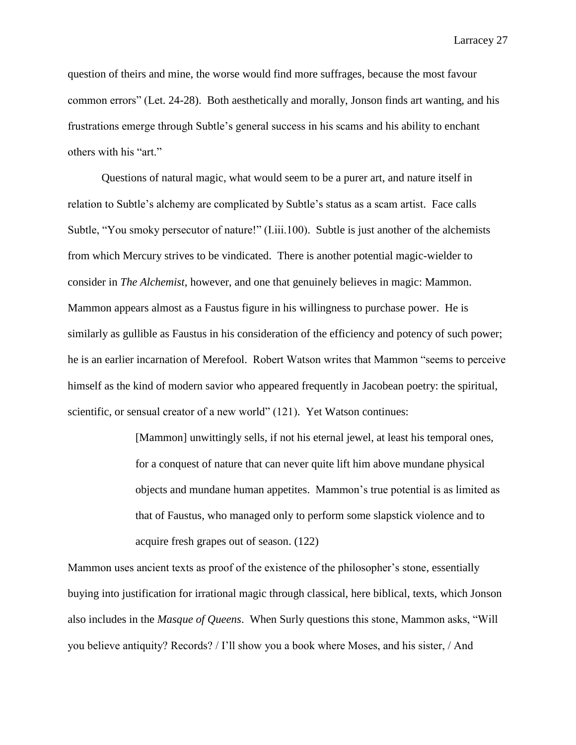question of theirs and mine, the worse would find more suffrages, because the most favour common errors" (Let. 24-28). Both aesthetically and morally, Jonson finds art wanting, and his frustrations emerge through Subtle's general success in his scams and his ability to enchant others with his "art."

Questions of natural magic, what would seem to be a purer art, and nature itself in relation to Subtle's alchemy are complicated by Subtle's status as a scam artist. Face calls Subtle, "You smoky persecutor of nature!" (I.iii.100). Subtle is just another of the alchemists from which Mercury strives to be vindicated. There is another potential magic-wielder to consider in *The Alchemist*, however, and one that genuinely believes in magic: Mammon. Mammon appears almost as a Faustus figure in his willingness to purchase power. He is similarly as gullible as Faustus in his consideration of the efficiency and potency of such power; he is an earlier incarnation of Merefool. Robert Watson writes that Mammon "seems to perceive himself as the kind of modern savior who appeared frequently in Jacobean poetry: the spiritual, scientific, or sensual creator of a new world" (121). Yet Watson continues:

> [Mammon] unwittingly sells, if not his eternal jewel, at least his temporal ones, for a conquest of nature that can never quite lift him above mundane physical objects and mundane human appetites. Mammon's true potential is as limited as that of Faustus, who managed only to perform some slapstick violence and to acquire fresh grapes out of season. (122)

Mammon uses ancient texts as proof of the existence of the philosopher's stone, essentially buying into justification for irrational magic through classical, here biblical, texts, which Jonson also includes in the *Masque of Queens*. When Surly questions this stone, Mammon asks, "Will you believe antiquity? Records? / I'll show you a book where Moses, and his sister, / And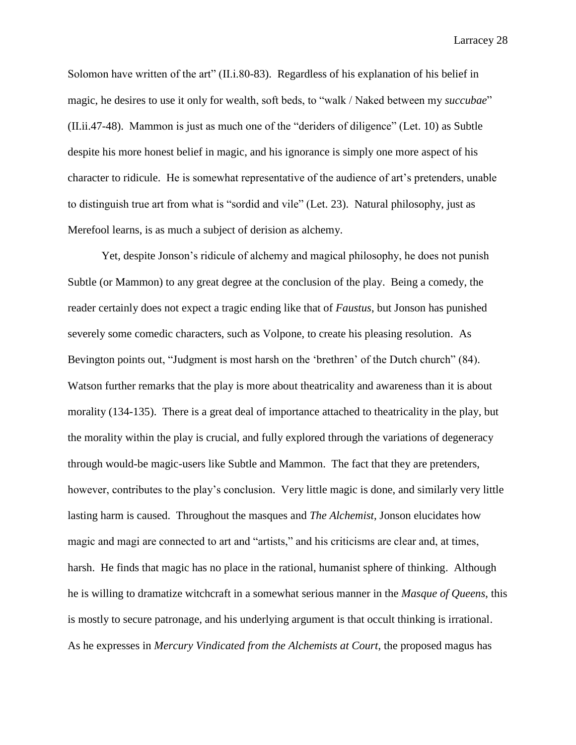Solomon have written of the art" (II.i.80-83). Regardless of his explanation of his belief in magic, he desires to use it only for wealth, soft beds, to "walk / Naked between my *succubae*" (II.ii.47-48). Mammon is just as much one of the "deriders of diligence" (Let. 10) as Subtle despite his more honest belief in magic, and his ignorance is simply one more aspect of his character to ridicule. He is somewhat representative of the audience of art's pretenders, unable to distinguish true art from what is "sordid and vile" (Let. 23). Natural philosophy, just as Merefool learns, is as much a subject of derision as alchemy.

Yet, despite Jonson's ridicule of alchemy and magical philosophy, he does not punish Subtle (or Mammon) to any great degree at the conclusion of the play. Being a comedy, the reader certainly does not expect a tragic ending like that of *Faustus*, but Jonson has punished severely some comedic characters, such as Volpone, to create his pleasing resolution. As Bevington points out, "Judgment is most harsh on the 'brethren' of the Dutch church" (84). Watson further remarks that the play is more about theatricality and awareness than it is about morality (134-135). There is a great deal of importance attached to theatricality in the play, but the morality within the play is crucial, and fully explored through the variations of degeneracy through would-be magic-users like Subtle and Mammon. The fact that they are pretenders, however, contributes to the play's conclusion. Very little magic is done, and similarly very little lasting harm is caused. Throughout the masques and *The Alchemist*, Jonson elucidates how magic and magi are connected to art and "artists," and his criticisms are clear and, at times, harsh. He finds that magic has no place in the rational, humanist sphere of thinking. Although he is willing to dramatize witchcraft in a somewhat serious manner in the *Masque of Queens*, this is mostly to secure patronage, and his underlying argument is that occult thinking is irrational. As he expresses in *Mercury Vindicated from the Alchemists at Court*, the proposed magus has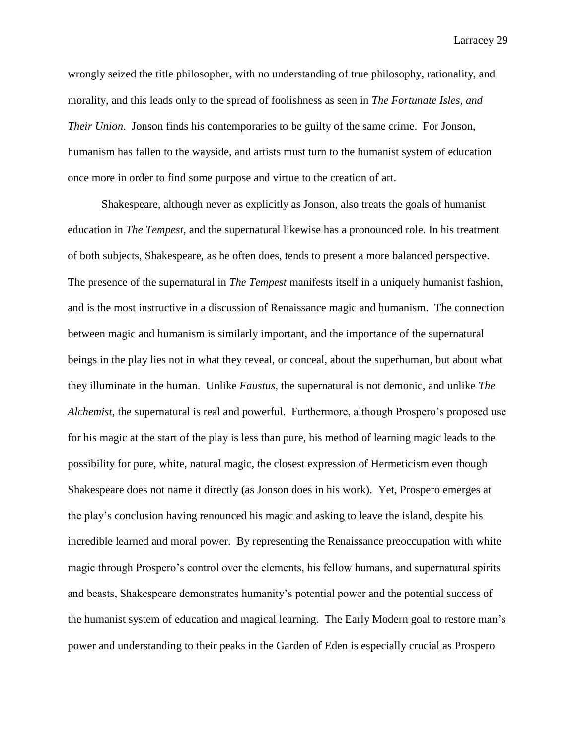wrongly seized the title philosopher, with no understanding of true philosophy, rationality, and morality, and this leads only to the spread of foolishness as seen in *The Fortunate Isles, and Their Union*. Jonson finds his contemporaries to be guilty of the same crime. For Jonson, humanism has fallen to the wayside, and artists must turn to the humanist system of education once more in order to find some purpose and virtue to the creation of art.

Shakespeare, although never as explicitly as Jonson, also treats the goals of humanist education in *The Tempest*, and the supernatural likewise has a pronounced role. In his treatment of both subjects, Shakespeare, as he often does, tends to present a more balanced perspective. The presence of the supernatural in *The Tempest* manifests itself in a uniquely humanist fashion, and is the most instructive in a discussion of Renaissance magic and humanism. The connection between magic and humanism is similarly important, and the importance of the supernatural beings in the play lies not in what they reveal, or conceal, about the superhuman, but about what they illuminate in the human. Unlike *Faustus*, the supernatural is not demonic, and unlike *The Alchemist,* the supernatural is real and powerful. Furthermore, although Prospero's proposed use for his magic at the start of the play is less than pure, his method of learning magic leads to the possibility for pure, white, natural magic, the closest expression of Hermeticism even though Shakespeare does not name it directly (as Jonson does in his work). Yet, Prospero emerges at the play's conclusion having renounced his magic and asking to leave the island, despite his incredible learned and moral power. By representing the Renaissance preoccupation with white magic through Prospero's control over the elements, his fellow humans, and supernatural spirits and beasts, Shakespeare demonstrates humanity's potential power and the potential success of the humanist system of education and magical learning. The Early Modern goal to restore man's power and understanding to their peaks in the Garden of Eden is especially crucial as Prospero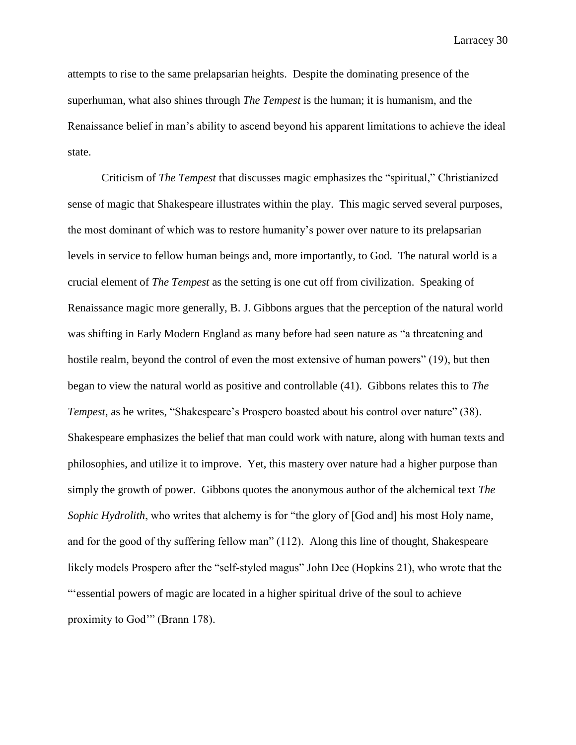attempts to rise to the same prelapsarian heights. Despite the dominating presence of the superhuman, what also shines through *The Tempest* is the human; it is humanism, and the Renaissance belief in man's ability to ascend beyond his apparent limitations to achieve the ideal state.

Criticism of *The Tempest* that discusses magic emphasizes the "spiritual," Christianized sense of magic that Shakespeare illustrates within the play. This magic served several purposes, the most dominant of which was to restore humanity's power over nature to its prelapsarian levels in service to fellow human beings and, more importantly, to God. The natural world is a crucial element of *The Tempest* as the setting is one cut off from civilization. Speaking of Renaissance magic more generally, B. J. Gibbons argues that the perception of the natural world was shifting in Early Modern England as many before had seen nature as "a threatening and hostile realm, beyond the control of even the most extensive of human powers" (19), but then began to view the natural world as positive and controllable (41). Gibbons relates this to *The Tempest*, as he writes, "Shakespeare's Prospero boasted about his control over nature" (38). Shakespeare emphasizes the belief that man could work with nature, along with human texts and philosophies, and utilize it to improve. Yet, this mastery over nature had a higher purpose than simply the growth of power. Gibbons quotes the anonymous author of the alchemical text *The Sophic Hydrolith*, who writes that alchemy is for "the glory of [God and] his most Holy name, and for the good of thy suffering fellow man" (112). Along this line of thought, Shakespeare likely models Prospero after the "self-styled magus" John Dee (Hopkins 21), who wrote that the "'essential powers of magic are located in a higher spiritual drive of the soul to achieve proximity to God'" (Brann 178).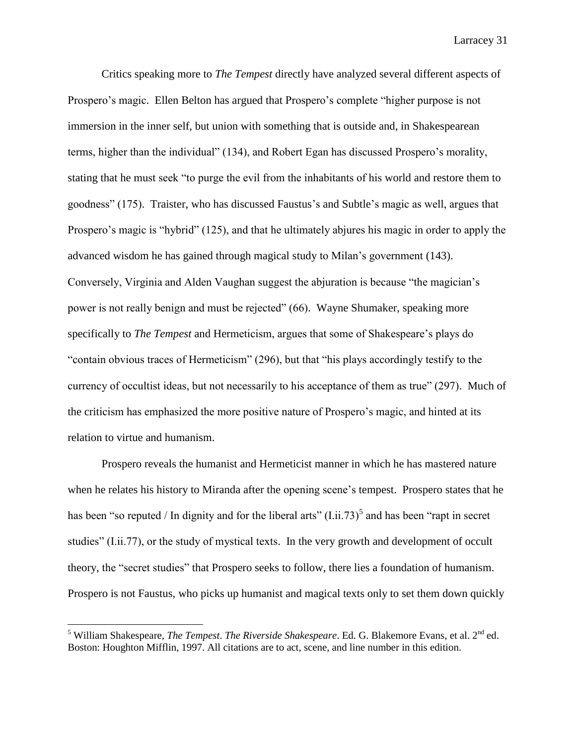Critics speaking more to *The Tempest* directly have analyzed several different aspects of Prospero's magic. Ellen Belton has argued that Prospero's complete "higher purpose is not immersion in the inner self, but union with something that is outside and, in Shakespearean terms, higher than the individual" (134), and Robert Egan has discussed Prospero's morality, stating that he must seek "to purge the evil from the inhabitants of his world and restore them to goodness" (175). Traister, who has discussed Faustus's and Subtle's magic as well, argues that Prospero's magic is "hybrid" (125), and that he ultimately abjures his magic in order to apply the advanced wisdom he has gained through magical study to Milan's government (143). Conversely, Virginia and Alden Vaughan suggest the abjuration is because "the magician's power is not really benign and must be rejected" (66). Wayne Shumaker, speaking more specifically to *The Tempest* and Hermeticism, argues that some of Shakespeare's plays do "contain obvious traces of Hermeticism" (296), but that "his plays accordingly testify to the currency of occultist ideas, but not necessarily to his acceptance of them as true" (297). Much of the criticism has emphasized the more positive nature of Prospero's magic, and hinted at its relation to virtue and humanism.

Prospero reveals the humanist and Hermeticist manner in which he has mastered nature when he relates his history to Miranda after the opening scene's tempest. Prospero states that he has been "so reputed / In dignity and for the liberal arts"  $(I.ii.73)^5$  and has been "rapt in secret studies" (I.ii.77), or the study of mystical texts. In the very growth and development of occult theory, the "secret studies" that Prospero seeks to follow, there lies a foundation of humanism. Prospero is not Faustus, who picks up humanist and magical texts only to set them down quickly

l

 $<sup>5</sup>$  William Shakespeare, *The Tempest. The Riverside Shakespeare*. Ed. G. Blakemore Evans, et al.  $2<sup>nd</sup>$  ed.</sup> Boston: Houghton Mifflin, 1997. All citations are to act, scene, and line number in this edition.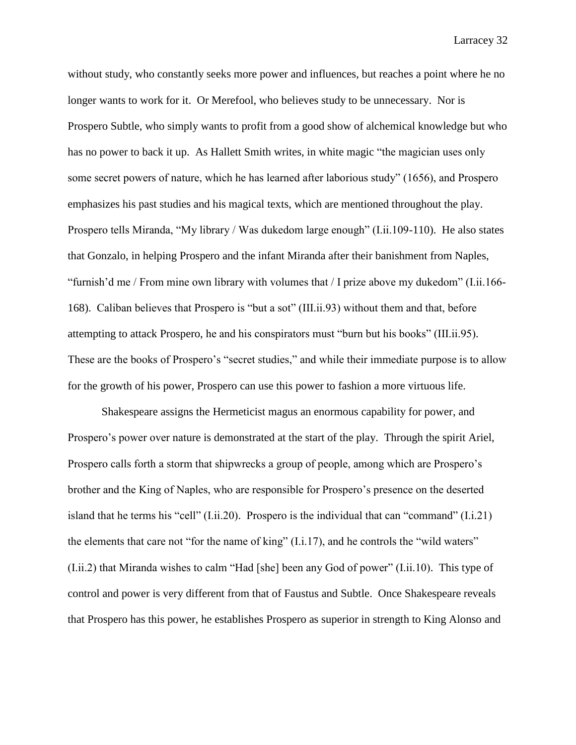without study, who constantly seeks more power and influences, but reaches a point where he no longer wants to work for it. Or Merefool, who believes study to be unnecessary. Nor is Prospero Subtle, who simply wants to profit from a good show of alchemical knowledge but who has no power to back it up. As Hallett Smith writes, in white magic "the magician uses only some secret powers of nature, which he has learned after laborious study" (1656), and Prospero emphasizes his past studies and his magical texts, which are mentioned throughout the play. Prospero tells Miranda, "My library / Was dukedom large enough" (I.ii.109-110). He also states that Gonzalo, in helping Prospero and the infant Miranda after their banishment from Naples, "furnish'd me / From mine own library with volumes that / I prize above my dukedom" (I.ii.166- 168). Caliban believes that Prospero is "but a sot" (III.ii.93) without them and that, before attempting to attack Prospero, he and his conspirators must "burn but his books" (III.ii.95). These are the books of Prospero's "secret studies," and while their immediate purpose is to allow for the growth of his power, Prospero can use this power to fashion a more virtuous life.

Shakespeare assigns the Hermeticist magus an enormous capability for power, and Prospero's power over nature is demonstrated at the start of the play. Through the spirit Ariel, Prospero calls forth a storm that shipwrecks a group of people, among which are Prospero's brother and the King of Naples, who are responsible for Prospero's presence on the deserted island that he terms his "cell" (I.ii.20). Prospero is the individual that can "command" (I.i.21) the elements that care not "for the name of king"  $(I.i.17)$ , and he controls the "wild waters" (I.ii.2) that Miranda wishes to calm "Had [she] been any God of power" (I.ii.10). This type of control and power is very different from that of Faustus and Subtle. Once Shakespeare reveals that Prospero has this power, he establishes Prospero as superior in strength to King Alonso and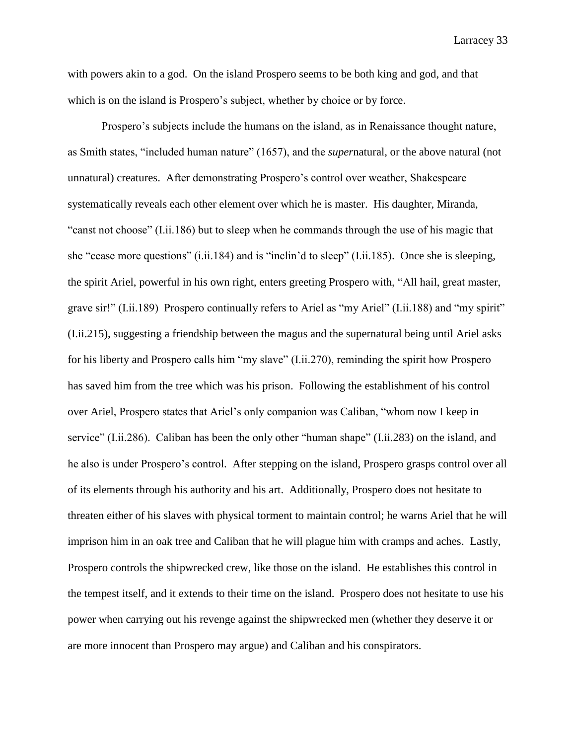with powers akin to a god. On the island Prospero seems to be both king and god, and that which is on the island is Prospero's subject, whether by choice or by force.

Prospero's subjects include the humans on the island, as in Renaissance thought nature, as Smith states, "included human nature" (1657), and the *super*natural, or the above natural (not unnatural) creatures. After demonstrating Prospero's control over weather, Shakespeare systematically reveals each other element over which he is master. His daughter, Miranda, "canst not choose" (I.ii.186) but to sleep when he commands through the use of his magic that she "cease more questions" (i.ii.184) and is "inclin'd to sleep" (I.ii.185). Once she is sleeping, the spirit Ariel, powerful in his own right, enters greeting Prospero with, "All hail, great master, grave sir!" (I.ii.189) Prospero continually refers to Ariel as "my Ariel" (I.ii.188) and "my spirit" (I.ii.215), suggesting a friendship between the magus and the supernatural being until Ariel asks for his liberty and Prospero calls him "my slave" (I.ii.270), reminding the spirit how Prospero has saved him from the tree which was his prison. Following the establishment of his control over Ariel, Prospero states that Ariel's only companion was Caliban, "whom now I keep in service" (I.ii.286). Caliban has been the only other "human shape" (I.ii.283) on the island, and he also is under Prospero's control. After stepping on the island, Prospero grasps control over all of its elements through his authority and his art. Additionally, Prospero does not hesitate to threaten either of his slaves with physical torment to maintain control; he warns Ariel that he will imprison him in an oak tree and Caliban that he will plague him with cramps and aches. Lastly, Prospero controls the shipwrecked crew, like those on the island. He establishes this control in the tempest itself, and it extends to their time on the island. Prospero does not hesitate to use his power when carrying out his revenge against the shipwrecked men (whether they deserve it or are more innocent than Prospero may argue) and Caliban and his conspirators.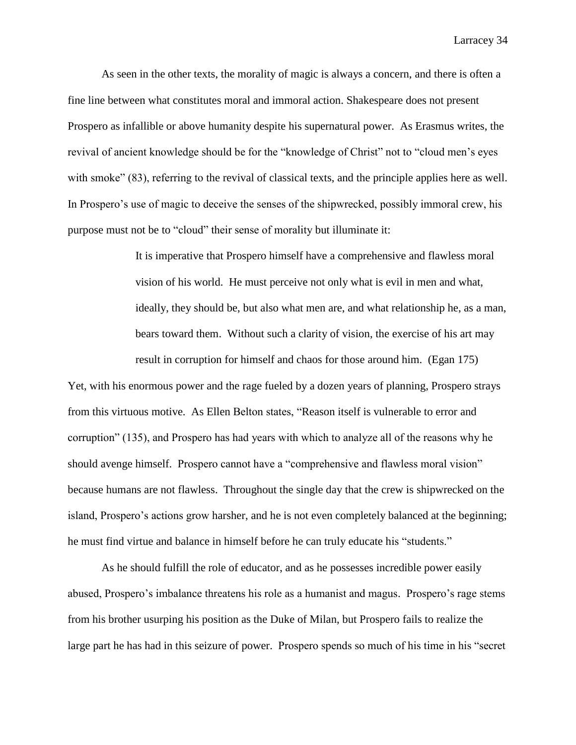As seen in the other texts, the morality of magic is always a concern, and there is often a fine line between what constitutes moral and immoral action. Shakespeare does not present Prospero as infallible or above humanity despite his supernatural power. As Erasmus writes, the revival of ancient knowledge should be for the "knowledge of Christ" not to "cloud men's eyes with smoke" (83), referring to the revival of classical texts, and the principle applies here as well. In Prospero's use of magic to deceive the senses of the shipwrecked, possibly immoral crew, his purpose must not be to "cloud" their sense of morality but illuminate it:

> It is imperative that Prospero himself have a comprehensive and flawless moral vision of his world. He must perceive not only what is evil in men and what, ideally, they should be, but also what men are, and what relationship he, as a man, bears toward them. Without such a clarity of vision, the exercise of his art may result in corruption for himself and chaos for those around him. (Egan 175)

Yet, with his enormous power and the rage fueled by a dozen years of planning, Prospero strays from this virtuous motive. As Ellen Belton states, "Reason itself is vulnerable to error and corruption" (135), and Prospero has had years with which to analyze all of the reasons why he should avenge himself. Prospero cannot have a "comprehensive and flawless moral vision" because humans are not flawless. Throughout the single day that the crew is shipwrecked on the island, Prospero's actions grow harsher, and he is not even completely balanced at the beginning; he must find virtue and balance in himself before he can truly educate his "students."

As he should fulfill the role of educator, and as he possesses incredible power easily abused, Prospero's imbalance threatens his role as a humanist and magus. Prospero's rage stems from his brother usurping his position as the Duke of Milan, but Prospero fails to realize the large part he has had in this seizure of power. Prospero spends so much of his time in his "secret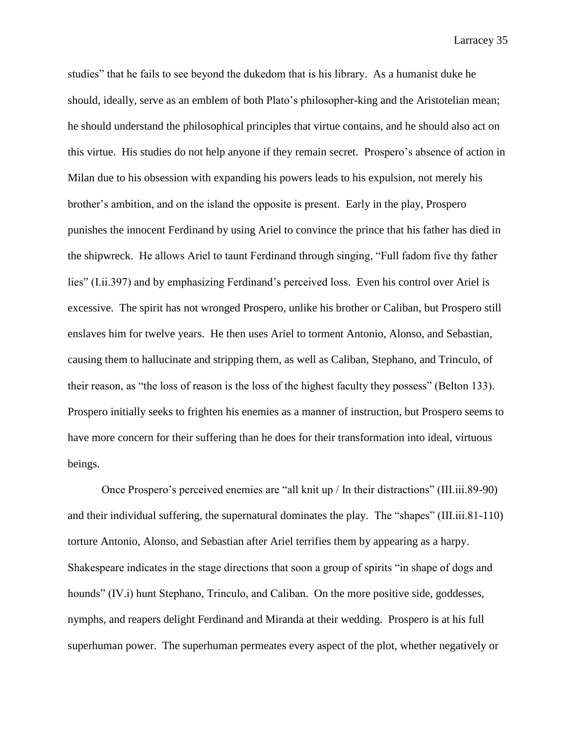studies" that he fails to see beyond the dukedom that is his library. As a humanist duke he should, ideally, serve as an emblem of both Plato's philosopher-king and the Aristotelian mean; he should understand the philosophical principles that virtue contains, and he should also act on this virtue. His studies do not help anyone if they remain secret. Prospero's absence of action in Milan due to his obsession with expanding his powers leads to his expulsion, not merely his brother's ambition, and on the island the opposite is present. Early in the play, Prospero punishes the innocent Ferdinand by using Ariel to convince the prince that his father has died in the shipwreck. He allows Ariel to taunt Ferdinand through singing, "Full fadom five thy father lies" (I.ii.397) and by emphasizing Ferdinand's perceived loss. Even his control over Ariel is excessive. The spirit has not wronged Prospero, unlike his brother or Caliban, but Prospero still enslaves him for twelve years. He then uses Ariel to torment Antonio, Alonso, and Sebastian, causing them to hallucinate and stripping them, as well as Caliban, Stephano, and Trinculo, of their reason, as "the loss of reason is the loss of the highest faculty they possess" (Belton 133). Prospero initially seeks to frighten his enemies as a manner of instruction, but Prospero seems to have more concern for their suffering than he does for their transformation into ideal, virtuous beings.

Once Prospero's perceived enemies are "all knit up / In their distractions" (III.iii.89-90) and their individual suffering, the supernatural dominates the play. The "shapes" (III.iii.81-110) torture Antonio, Alonso, and Sebastian after Ariel terrifies them by appearing as a harpy. Shakespeare indicates in the stage directions that soon a group of spirits "in shape of dogs and hounds" (IV.i) hunt Stephano, Trinculo, and Caliban. On the more positive side, goddesses, nymphs, and reapers delight Ferdinand and Miranda at their wedding. Prospero is at his full superhuman power. The superhuman permeates every aspect of the plot, whether negatively or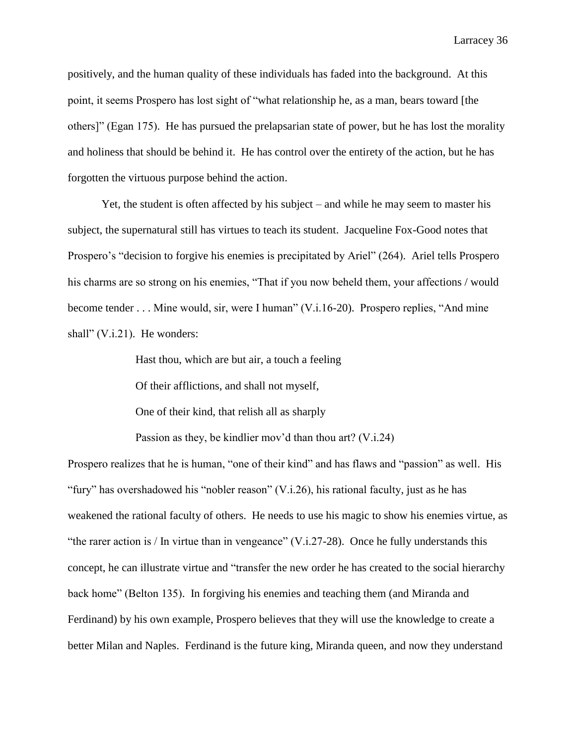positively, and the human quality of these individuals has faded into the background. At this point, it seems Prospero has lost sight of "what relationship he, as a man, bears toward [the others]" (Egan 175). He has pursued the prelapsarian state of power, but he has lost the morality and holiness that should be behind it. He has control over the entirety of the action, but he has forgotten the virtuous purpose behind the action.

Yet, the student is often affected by his subject – and while he may seem to master his subject, the supernatural still has virtues to teach its student. Jacqueline Fox-Good notes that Prospero's "decision to forgive his enemies is precipitated by Ariel" (264). Ariel tells Prospero his charms are so strong on his enemies, "That if you now beheld them, your affections / would become tender . . . Mine would, sir, were I human" (V.i.16-20). Prospero replies, "And mine shall" (V.i.21). He wonders:

Hast thou, which are but air, a touch a feeling

Of their afflictions, and shall not myself,

One of their kind, that relish all as sharply

Passion as they, be kindlier mov'd than thou art? (V.i.24)

Prospero realizes that he is human, "one of their kind" and has flaws and "passion" as well. His "fury" has overshadowed his "nobler reason" (V.i.26), his rational faculty, just as he has weakened the rational faculty of others. He needs to use his magic to show his enemies virtue, as "the rarer action is / In virtue than in vengeance"  $(V.i.27-28)$ . Once he fully understands this concept, he can illustrate virtue and "transfer the new order he has created to the social hierarchy back home" (Belton 135). In forgiving his enemies and teaching them (and Miranda and Ferdinand) by his own example, Prospero believes that they will use the knowledge to create a better Milan and Naples. Ferdinand is the future king, Miranda queen, and now they understand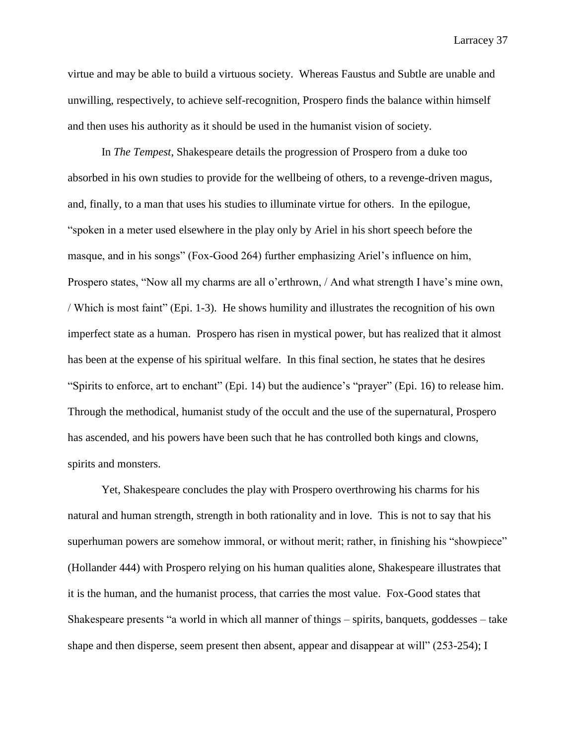virtue and may be able to build a virtuous society. Whereas Faustus and Subtle are unable and unwilling, respectively, to achieve self-recognition, Prospero finds the balance within himself and then uses his authority as it should be used in the humanist vision of society.

In *The Tempest*, Shakespeare details the progression of Prospero from a duke too absorbed in his own studies to provide for the wellbeing of others, to a revenge-driven magus, and, finally, to a man that uses his studies to illuminate virtue for others. In the epilogue, "spoken in a meter used elsewhere in the play only by Ariel in his short speech before the masque, and in his songs" (Fox-Good 264) further emphasizing Ariel's influence on him, Prospero states, "Now all my charms are all o'erthrown, / And what strength I have's mine own, / Which is most faint" (Epi. 1-3). He shows humility and illustrates the recognition of his own imperfect state as a human. Prospero has risen in mystical power, but has realized that it almost has been at the expense of his spiritual welfare. In this final section, he states that he desires "Spirits to enforce, art to enchant" (Epi. 14) but the audience's "prayer" (Epi. 16) to release him. Through the methodical, humanist study of the occult and the use of the supernatural, Prospero has ascended, and his powers have been such that he has controlled both kings and clowns, spirits and monsters.

Yet, Shakespeare concludes the play with Prospero overthrowing his charms for his natural and human strength, strength in both rationality and in love. This is not to say that his superhuman powers are somehow immoral, or without merit; rather, in finishing his "showpiece" (Hollander 444) with Prospero relying on his human qualities alone, Shakespeare illustrates that it is the human, and the humanist process, that carries the most value. Fox-Good states that Shakespeare presents "a world in which all manner of things – spirits, banquets, goddesses – take shape and then disperse, seem present then absent, appear and disappear at will" (253-254); I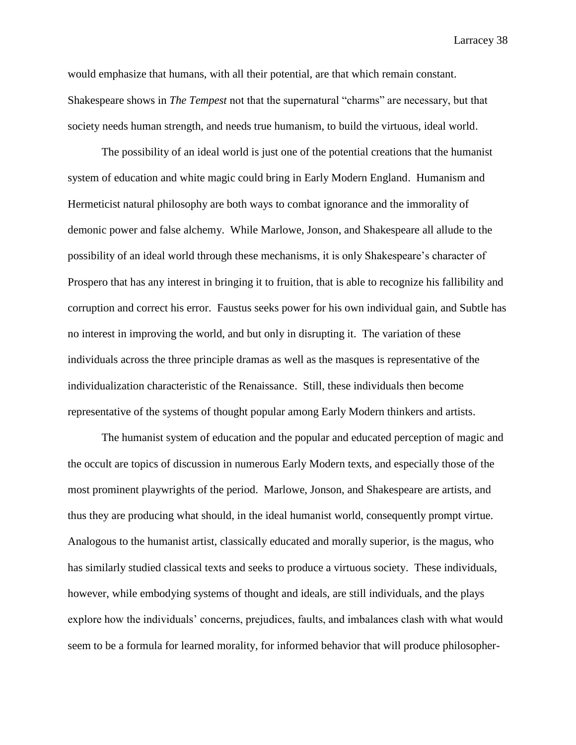would emphasize that humans, with all their potential, are that which remain constant. Shakespeare shows in *The Tempest* not that the supernatural "charms" are necessary, but that society needs human strength, and needs true humanism, to build the virtuous, ideal world.

The possibility of an ideal world is just one of the potential creations that the humanist system of education and white magic could bring in Early Modern England. Humanism and Hermeticist natural philosophy are both ways to combat ignorance and the immorality of demonic power and false alchemy. While Marlowe, Jonson, and Shakespeare all allude to the possibility of an ideal world through these mechanisms, it is only Shakespeare's character of Prospero that has any interest in bringing it to fruition, that is able to recognize his fallibility and corruption and correct his error. Faustus seeks power for his own individual gain, and Subtle has no interest in improving the world, and but only in disrupting it. The variation of these individuals across the three principle dramas as well as the masques is representative of the individualization characteristic of the Renaissance. Still, these individuals then become representative of the systems of thought popular among Early Modern thinkers and artists.

The humanist system of education and the popular and educated perception of magic and the occult are topics of discussion in numerous Early Modern texts, and especially those of the most prominent playwrights of the period. Marlowe, Jonson, and Shakespeare are artists, and thus they are producing what should, in the ideal humanist world, consequently prompt virtue. Analogous to the humanist artist, classically educated and morally superior, is the magus, who has similarly studied classical texts and seeks to produce a virtuous society. These individuals, however, while embodying systems of thought and ideals, are still individuals, and the plays explore how the individuals' concerns, prejudices, faults, and imbalances clash with what would seem to be a formula for learned morality, for informed behavior that will produce philosopher-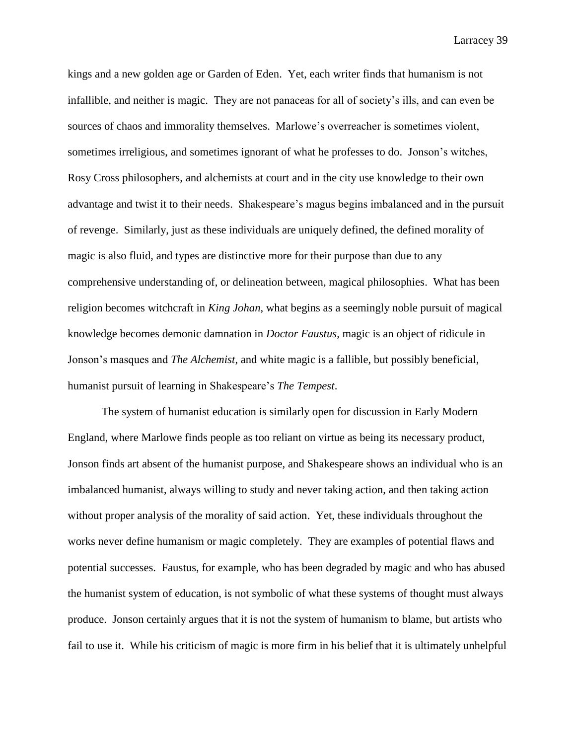kings and a new golden age or Garden of Eden. Yet, each writer finds that humanism is not infallible, and neither is magic. They are not panaceas for all of society's ills, and can even be sources of chaos and immorality themselves. Marlowe's overreacher is sometimes violent, sometimes irreligious, and sometimes ignorant of what he professes to do. Jonson's witches, Rosy Cross philosophers, and alchemists at court and in the city use knowledge to their own advantage and twist it to their needs. Shakespeare's magus begins imbalanced and in the pursuit of revenge. Similarly, just as these individuals are uniquely defined, the defined morality of magic is also fluid, and types are distinctive more for their purpose than due to any comprehensive understanding of, or delineation between, magical philosophies. What has been religion becomes witchcraft in *King Johan*, what begins as a seemingly noble pursuit of magical knowledge becomes demonic damnation in *Doctor Faustus*, magic is an object of ridicule in Jonson's masques and *The Alchemist*, and white magic is a fallible, but possibly beneficial, humanist pursuit of learning in Shakespeare's *The Tempest*.

The system of humanist education is similarly open for discussion in Early Modern England, where Marlowe finds people as too reliant on virtue as being its necessary product, Jonson finds art absent of the humanist purpose, and Shakespeare shows an individual who is an imbalanced humanist, always willing to study and never taking action, and then taking action without proper analysis of the morality of said action. Yet, these individuals throughout the works never define humanism or magic completely. They are examples of potential flaws and potential successes. Faustus, for example, who has been degraded by magic and who has abused the humanist system of education, is not symbolic of what these systems of thought must always produce. Jonson certainly argues that it is not the system of humanism to blame, but artists who fail to use it. While his criticism of magic is more firm in his belief that it is ultimately unhelpful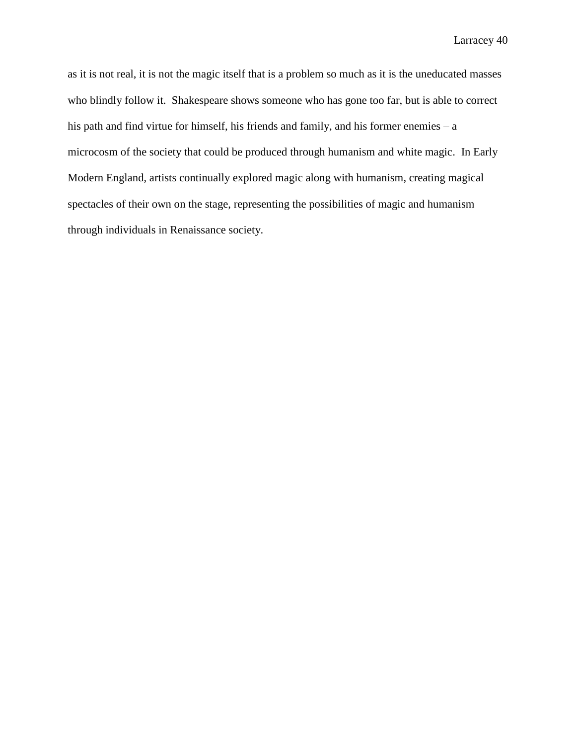as it is not real, it is not the magic itself that is a problem so much as it is the uneducated masses who blindly follow it. Shakespeare shows someone who has gone too far, but is able to correct his path and find virtue for himself, his friends and family, and his former enemies – a microcosm of the society that could be produced through humanism and white magic. In Early Modern England, artists continually explored magic along with humanism, creating magical spectacles of their own on the stage, representing the possibilities of magic and humanism through individuals in Renaissance society.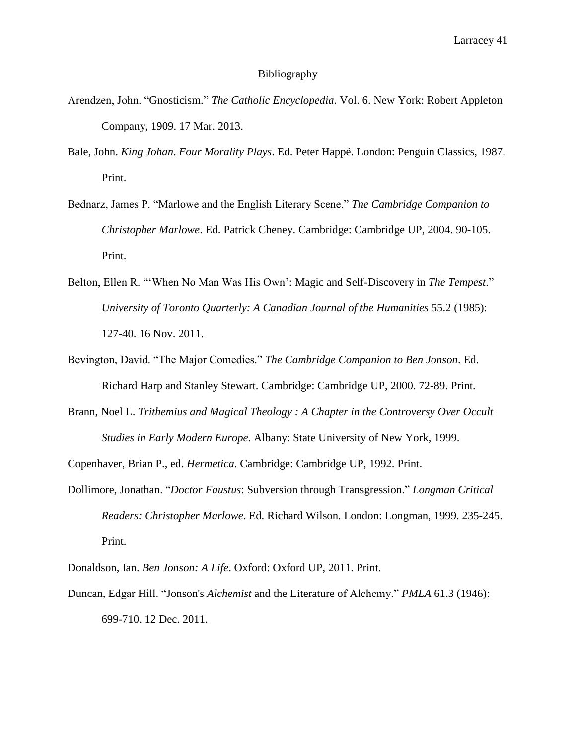## Bibliography

- Arendzen, John. "Gnosticism." *The Catholic Encyclopedia*. Vol. 6. New York: Robert Appleton Company, 1909. 17 Mar. 2013.
- Bale, John. *King Johan*. *Four Morality Plays*. Ed. Peter Happé. London: Penguin Classics, 1987. Print.
- Bednarz, James P. "Marlowe and the English Literary Scene." *The Cambridge Companion to Christopher Marlowe*. Ed. Patrick Cheney. Cambridge: Cambridge UP, 2004. 90-105. Print.
- Belton, Ellen R. "'When No Man Was His Own': Magic and Self-Discovery in *The Tempest*." *University of Toronto Quarterly: A Canadian Journal of the Humanities* 55.2 (1985): 127-40. 16 Nov. 2011.
- Bevington, David. "The Major Comedies." *The Cambridge Companion to Ben Jonson*. Ed. Richard Harp and Stanley Stewart. Cambridge: Cambridge UP, 2000. 72-89. Print.
- Brann, Noel L. *Trithemius and Magical Theology : A Chapter in the Controversy Over Occult Studies in Early Modern Europe*. Albany: State University of New York, 1999.

Copenhaver, Brian P., ed. *Hermetica*. Cambridge: Cambridge UP, 1992. Print.

Dollimore, Jonathan. "*Doctor Faustus*: Subversion through Transgression." *Longman Critical Readers: Christopher Marlowe*. Ed. Richard Wilson. London: Longman, 1999. 235-245. Print.

Donaldson, Ian. *Ben Jonson: A Life*. Oxford: Oxford UP, 2011. Print.

Duncan, Edgar Hill. "Jonson's *Alchemist* and the Literature of Alchemy." *PMLA* 61.3 (1946): 699-710. 12 Dec. 2011.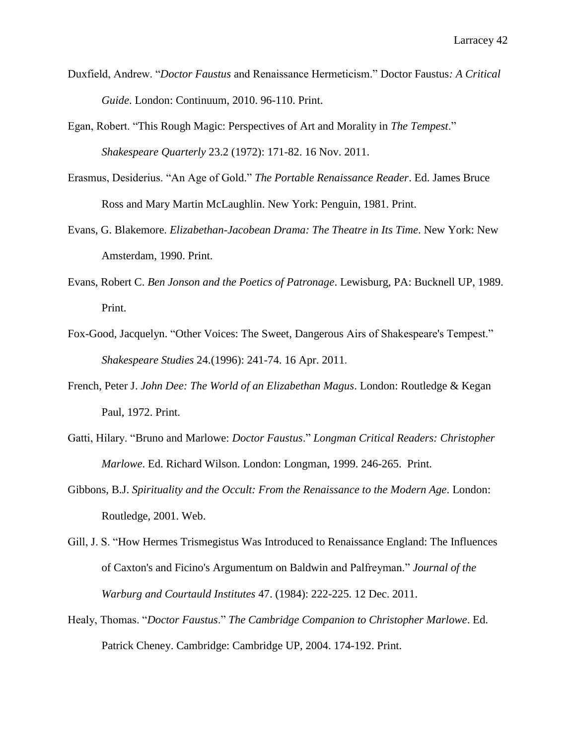- Duxfield, Andrew. "*Doctor Faustus* and Renaissance Hermeticism." Doctor Faustus*: A Critical Guide*. London: Continuum, 2010. 96-110. Print.
- Egan, Robert. "This Rough Magic: Perspectives of Art and Morality in *The Tempest*." *Shakespeare Quarterly* 23.2 (1972): 171-82. 16 Nov. 2011.
- Erasmus, Desiderius. "An Age of Gold." *The Portable Renaissance Reader*. Ed. James Bruce Ross and Mary Martin McLaughlin. New York: Penguin, 1981. Print.
- Evans, G. Blakemore. *Elizabethan-Jacobean Drama: The Theatre in Its Time*. New York: New Amsterdam, 1990. Print.
- Evans, Robert C. *Ben Jonson and the Poetics of Patronage*. Lewisburg, PA: Bucknell UP, 1989. Print.
- Fox-Good, Jacquelyn. "Other Voices: The Sweet, Dangerous Airs of Shakespeare's Tempest." *Shakespeare Studies* 24.(1996): 241-74. 16 Apr. 2011.
- French, Peter J. *John Dee: The World of an Elizabethan Magus*. London: Routledge & Kegan Paul, 1972. Print.
- Gatti, Hilary. "Bruno and Marlowe: *Doctor Faustus*." *Longman Critical Readers: Christopher Marlowe*. Ed. Richard Wilson. London: Longman, 1999. 246-265. Print.
- Gibbons, B.J. *Spirituality and the Occult: From the Renaissance to the Modern Age*. London: Routledge, 2001. Web.
- Gill, J. S. "How Hermes Trismegistus Was Introduced to Renaissance England: The Influences of Caxton's and Ficino's Argumentum on Baldwin and Palfreyman." *Journal of the Warburg and Courtauld Institutes* 47. (1984): 222-225. 12 Dec. 2011.
- Healy, Thomas. "*Doctor Faustus*." *The Cambridge Companion to Christopher Marlowe*. Ed. Patrick Cheney. Cambridge: Cambridge UP, 2004. 174-192. Print.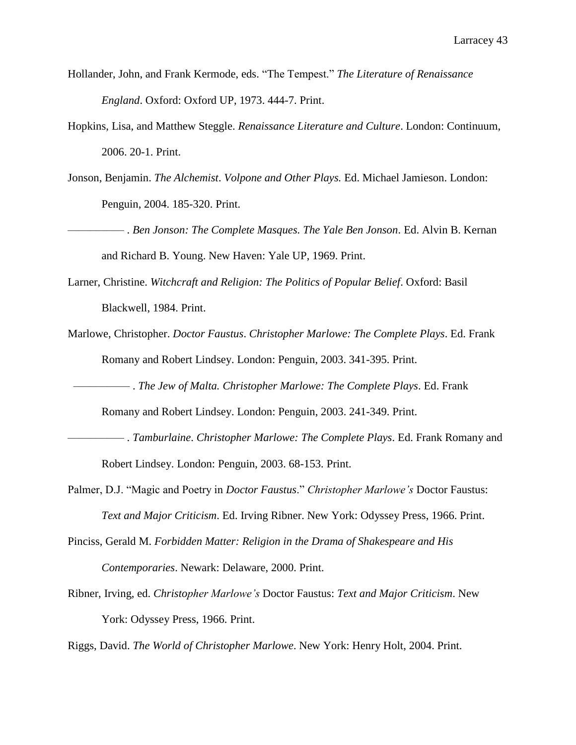- Hollander, John, and Frank Kermode, eds. "The Tempest." *The Literature of Renaissance England*. Oxford: Oxford UP, 1973. 444-7. Print.
- Hopkins, Lisa, and Matthew Steggle. *Renaissance Literature and Culture*. London: Continuum, 2006. 20-1. Print.
- Jonson, Benjamin. *The Alchemist*. *Volpone and Other Plays.* Ed. Michael Jamieson. London: Penguin, 2004. 185-320. Print.
- –––––––––– . *Ben Jonson: The Complete Masques. The Yale Ben Jonson*. Ed. Alvin B. Kernan and Richard B. Young. New Haven: Yale UP, 1969. Print.
- Larner, Christine. *Witchcraft and Religion: The Politics of Popular Belief*. Oxford: Basil Blackwell, 1984. Print.
- Marlowe, Christopher. *Doctor Faustus*. *Christopher Marlowe: The Complete Plays*. Ed. Frank Romany and Robert Lindsey. London: Penguin, 2003. 341-395. Print.
	- –––––––––– . *The Jew of Malta. Christopher Marlowe: The Complete Plays*. Ed. Frank

Romany and Robert Lindsey. London: Penguin, 2003. 241-349. Print.

- –––––––––– . *Tamburlaine*. *Christopher Marlowe: The Complete Plays*. Ed. Frank Romany and Robert Lindsey. London: Penguin, 2003. 68-153. Print.
- Palmer, D.J. "Magic and Poetry in *Doctor Faustus*." *Christopher Marlowe's* Doctor Faustus: *Text and Major Criticism*. Ed. Irving Ribner. New York: Odyssey Press, 1966. Print.
- Pinciss, Gerald M. *Forbidden Matter: Religion in the Drama of Shakespeare and His Contemporaries*. Newark: Delaware, 2000. Print.
- Ribner, Irving, ed. *Christopher Marlowe's* Doctor Faustus: *Text and Major Criticism*. New York: Odyssey Press, 1966. Print.

Riggs, David. *The World of Christopher Marlowe*. New York: Henry Holt, 2004. Print.